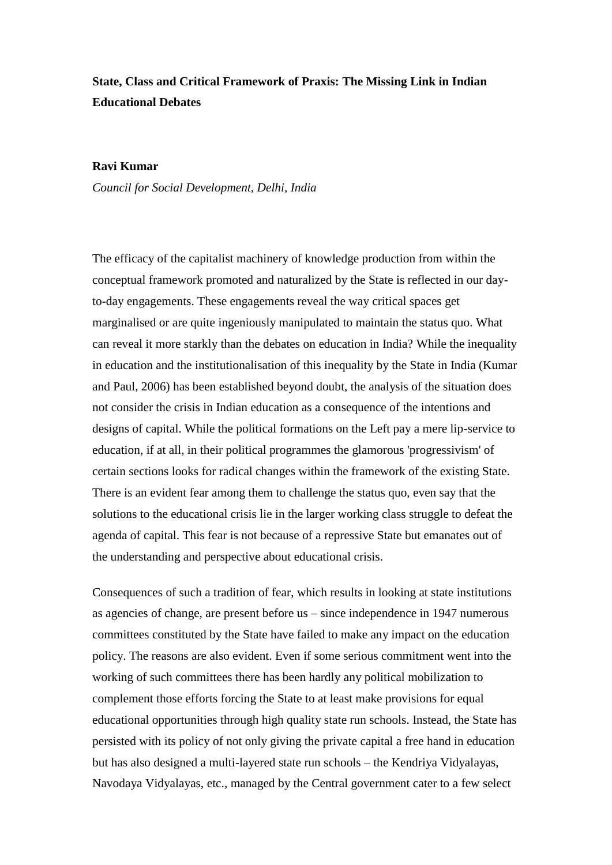# **State, Class and Critical Framework of Praxis: The Missing Link in Indian Educational Debates**

#### **Ravi Kumar**

*Council for Social Development, Delhi, India*

The efficacy of the capitalist machinery of knowledge production from within the conceptual framework promoted and naturalized by the State is reflected in our dayto-day engagements. These engagements reveal the way critical spaces get marginalised or are quite ingeniously manipulated to maintain the status quo. What can reveal it more starkly than the debates on education in India? While the inequality in education and the institutionalisation of this inequality by the State in India (Kumar and Paul, 2006) has been established beyond doubt, the analysis of the situation does not consider the crisis in Indian education as a consequence of the intentions and designs of capital. While the political formations on the Left pay a mere lip-service to education, if at all, in their political programmes the glamorous 'progressivism' of certain sections looks for radical changes within the framework of the existing State. There is an evident fear among them to challenge the status quo, even say that the solutions to the educational crisis lie in the larger working class struggle to defeat the agenda of capital. This fear is not because of a repressive State but emanates out of the understanding and perspective about educational crisis.

Consequences of such a tradition of fear, which results in looking at state institutions as agencies of change, are present before us – since independence in 1947 numerous committees constituted by the State have failed to make any impact on the education policy. The reasons are also evident. Even if some serious commitment went into the working of such committees there has been hardly any political mobilization to complement those efforts forcing the State to at least make provisions for equal educational opportunities through high quality state run schools. Instead, the State has persisted with its policy of not only giving the private capital a free hand in education but has also designed a multi-layered state run schools – the Kendriya Vidyalayas, Navodaya Vidyalayas, etc., managed by the Central government cater to a few select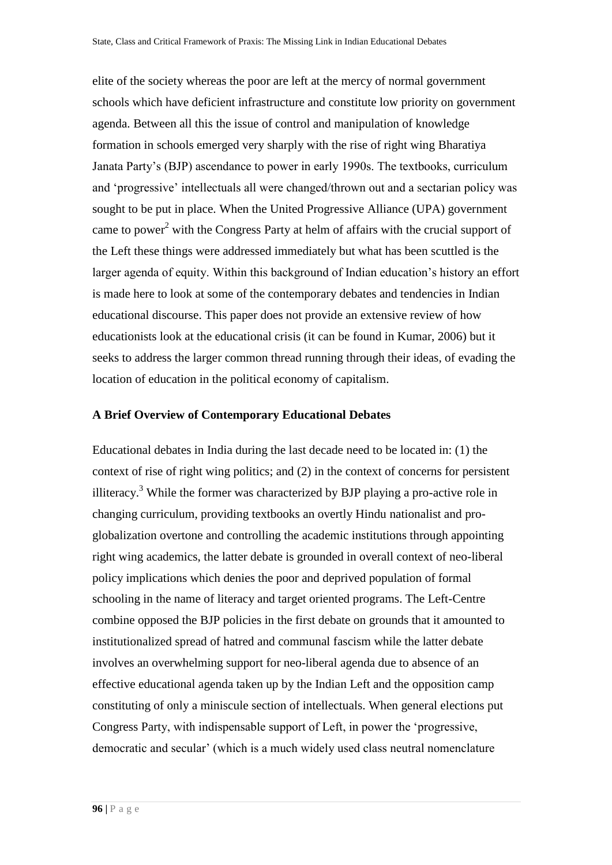elite of the society whereas the poor are left at the mercy of normal government schools which have deficient infrastructure and constitute low priority on government agenda. Between all this the issue of control and manipulation of knowledge formation in schools emerged very sharply with the rise of right wing Bharatiya Janata Party's (BJP) ascendance to power in early 1990s. The textbooks, curriculum and 'progressive' intellectuals all were changed/thrown out and a sectarian policy was sought to be put in place. When the United Progressive Alliance (UPA) government came to power<sup>2</sup> with the Congress Party at helm of affairs with the crucial support of the Left these things were addressed immediately but what has been scuttled is the larger agenda of equity. Within this background of Indian education's history an effort is made here to look at some of the contemporary debates and tendencies in Indian educational discourse. This paper does not provide an extensive review of how educationists look at the educational crisis (it can be found in Kumar, 2006) but it seeks to address the larger common thread running through their ideas, of evading the location of education in the political economy of capitalism.

#### **A Brief Overview of Contemporary Educational Debates**

Educational debates in India during the last decade need to be located in: (1) the context of rise of right wing politics; and (2) in the context of concerns for persistent illiteracy.<sup>3</sup> While the former was characterized by BJP playing a pro-active role in changing curriculum, providing textbooks an overtly Hindu nationalist and proglobalization overtone and controlling the academic institutions through appointing right wing academics, the latter debate is grounded in overall context of neo-liberal policy implications which denies the poor and deprived population of formal schooling in the name of literacy and target oriented programs. The Left-Centre combine opposed the BJP policies in the first debate on grounds that it amounted to institutionalized spread of hatred and communal fascism while the latter debate involves an overwhelming support for neo-liberal agenda due to absence of an effective educational agenda taken up by the Indian Left and the opposition camp constituting of only a miniscule section of intellectuals. When general elections put Congress Party, with indispensable support of Left, in power the 'progressive, democratic and secular' (which is a much widely used class neutral nomenclature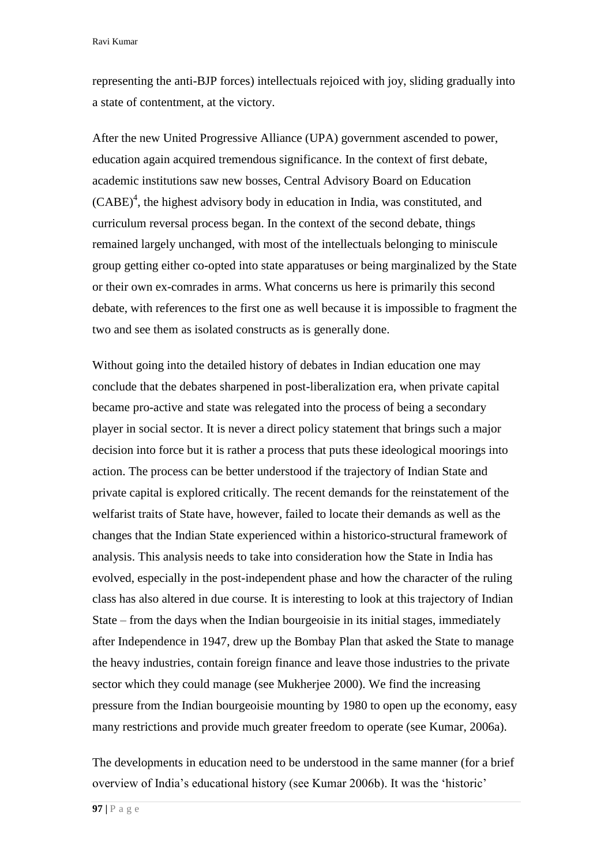representing the anti-BJP forces) intellectuals rejoiced with joy, sliding gradually into a state of contentment, at the victory.

After the new United Progressive Alliance (UPA) government ascended to power, education again acquired tremendous significance. In the context of first debate, academic institutions saw new bosses, Central Advisory Board on Education (CABE) 4 , the highest advisory body in education in India, was constituted, and curriculum reversal process began. In the context of the second debate, things remained largely unchanged, with most of the intellectuals belonging to miniscule group getting either co-opted into state apparatuses or being marginalized by the State or their own ex-comrades in arms. What concerns us here is primarily this second debate, with references to the first one as well because it is impossible to fragment the two and see them as isolated constructs as is generally done.

Without going into the detailed history of debates in Indian education one may conclude that the debates sharpened in post-liberalization era, when private capital became pro-active and state was relegated into the process of being a secondary player in social sector. It is never a direct policy statement that brings such a major decision into force but it is rather a process that puts these ideological moorings into action. The process can be better understood if the trajectory of Indian State and private capital is explored critically. The recent demands for the reinstatement of the welfarist traits of State have, however, failed to locate their demands as well as the changes that the Indian State experienced within a historico-structural framework of analysis. This analysis needs to take into consideration how the State in India has evolved, especially in the post-independent phase and how the character of the ruling class has also altered in due course. It is interesting to look at this trajectory of Indian State – from the days when the Indian bourgeoisie in its initial stages, immediately after Independence in 1947, drew up the Bombay Plan that asked the State to manage the heavy industries, contain foreign finance and leave those industries to the private sector which they could manage (see Mukherjee 2000). We find the increasing pressure from the Indian bourgeoisie mounting by 1980 to open up the economy, easy many restrictions and provide much greater freedom to operate (see Kumar, 2006a).

The developments in education need to be understood in the same manner (for a brief overview of India's educational history (see Kumar 2006b). It was the 'historic'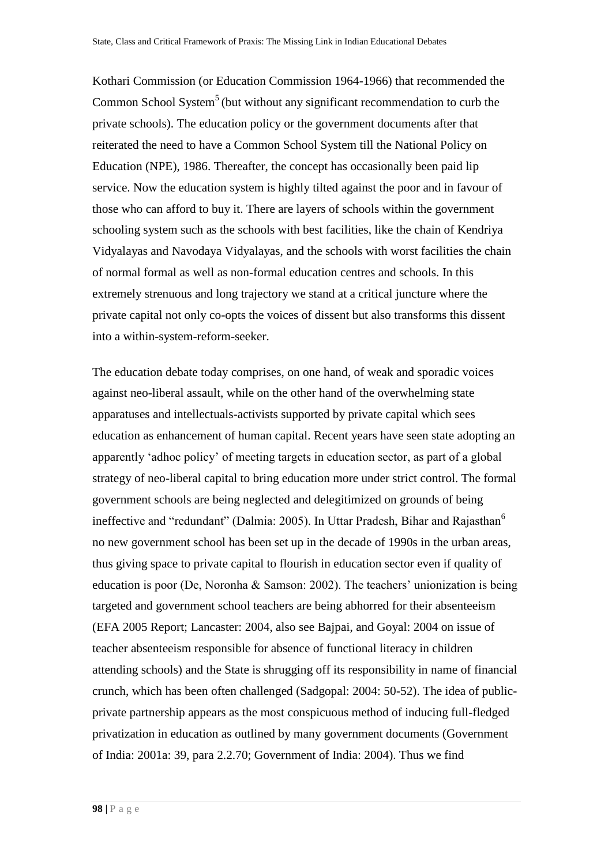Kothari Commission (or Education Commission 1964-1966) that recommended the Common School System<sup>5</sup> (but without any significant recommendation to curb the private schools). The education policy or the government documents after that reiterated the need to have a Common School System till the National Policy on Education (NPE), 1986. Thereafter, the concept has occasionally been paid lip service. Now the education system is highly tilted against the poor and in favour of those who can afford to buy it. There are layers of schools within the government schooling system such as the schools with best facilities, like the chain of Kendriya Vidyalayas and Navodaya Vidyalayas, and the schools with worst facilities the chain of normal formal as well as non-formal education centres and schools. In this extremely strenuous and long trajectory we stand at a critical juncture where the private capital not only co-opts the voices of dissent but also transforms this dissent into a within-system-reform-seeker.

The education debate today comprises, on one hand, of weak and sporadic voices against neo-liberal assault, while on the other hand of the overwhelming state apparatuses and intellectuals-activists supported by private capital which sees education as enhancement of human capital. Recent years have seen state adopting an apparently 'adhoc policy' of meeting targets in education sector, as part of a global strategy of neo-liberal capital to bring education more under strict control. The formal government schools are being neglected and delegitimized on grounds of being ineffective and "redundant" (Dalmia: 2005). In Uttar Pradesh, Bihar and Rajasthan<sup>6</sup> no new government school has been set up in the decade of 1990s in the urban areas, thus giving space to private capital to flourish in education sector even if quality of education is poor (De, Noronha & Samson: 2002). The teachers' unionization is being targeted and government school teachers are being abhorred for their absenteeism (EFA 2005 Report; Lancaster: 2004, also see Bajpai, and Goyal: 2004 on issue of teacher absenteeism responsible for absence of functional literacy in children attending schools) and the State is shrugging off its responsibility in name of financial crunch, which has been often challenged (Sadgopal: 2004: 50-52). The idea of publicprivate partnership appears as the most conspicuous method of inducing full-fledged privatization in education as outlined by many government documents (Government of India: 2001a: 39, para 2.2.70; Government of India: 2004). Thus we find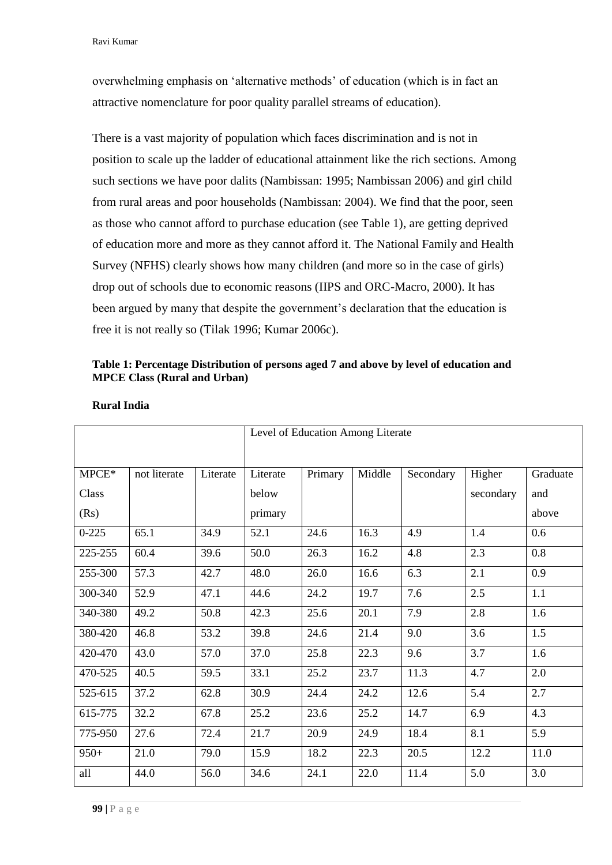overwhelming emphasis on 'alternative methods' of education (which is in fact an attractive nomenclature for poor quality parallel streams of education).

There is a vast majority of population which faces discrimination and is not in position to scale up the ladder of educational attainment like the rich sections. Among such sections we have poor dalits (Nambissan: 1995; Nambissan 2006) and girl child from rural areas and poor households (Nambissan: 2004). We find that the poor, seen as those who cannot afford to purchase education (see Table 1), are getting deprived of education more and more as they cannot afford it. The National Family and Health Survey (NFHS) clearly shows how many children (and more so in the case of girls) drop out of schools due to economic reasons (IIPS and ORC-Macro, 2000). It has been argued by many that despite the government's declaration that the education is free it is not really so (Tilak 1996; Kumar 2006c).

## **Table 1: Percentage Distribution of persons aged 7 and above by level of education and MPCE Class (Rural and Urban)**

|                   |              |          | Level of Education Among Literate |         |        |           |                     |                  |
|-------------------|--------------|----------|-----------------------------------|---------|--------|-----------|---------------------|------------------|
| $M PCE*$<br>Class | not literate | Literate | Literate<br>below                 | Primary | Middle | Secondary | Higher<br>secondary | Graduate<br>and  |
| (Rs)              |              |          | primary                           |         |        |           |                     | above            |
| $0 - 225$         | 65.1         | 34.9     | 52.1                              | 24.6    | 16.3   | 4.9       | 1.4                 | 0.6              |
| 225-255           | 60.4         | 39.6     | 50.0                              | 26.3    | 16.2   | 4.8       | 2.3                 | 0.8              |
| 255-300           | 57.3         | 42.7     | 48.0                              | 26.0    | 16.6   | 6.3       | 2.1                 | $\overline{0.9}$ |
| 300-340           | 52.9         | 47.1     | 44.6                              | 24.2    | 19.7   | 7.6       | 2.5                 | 1.1              |
| 340-380           | 49.2         | 50.8     | 42.3                              | 25.6    | 20.1   | 7.9       | 2.8                 | 1.6              |
| 380-420           | 46.8         | 53.2     | 39.8                              | 24.6    | 21.4   | 9.0       | 3.6                 | 1.5              |
| 420-470           | 43.0         | 57.0     | 37.0                              | 25.8    | 22.3   | 9.6       | 3.7                 | 1.6              |
| 470-525           | 40.5         | 59.5     | 33.1                              | 25.2    | 23.7   | 11.3      | 4.7                 | 2.0              |
| 525-615           | 37.2         | 62.8     | 30.9                              | 24.4    | 24.2   | 12.6      | 5.4                 | 2.7              |
| 615-775           | 32.2         | 67.8     | 25.2                              | 23.6    | 25.2   | 14.7      | 6.9                 | 4.3              |
| 775-950           | 27.6         | 72.4     | 21.7                              | 20.9    | 24.9   | 18.4      | 8.1                 | 5.9              |
| $950+$            | 21.0         | 79.0     | 15.9                              | 18.2    | 22.3   | 20.5      | 12.2                | 11.0             |
| all               | 44.0         | 56.0     | 34.6                              | 24.1    | 22.0   | 11.4      | 5.0                 | 3.0              |

#### **Rural India**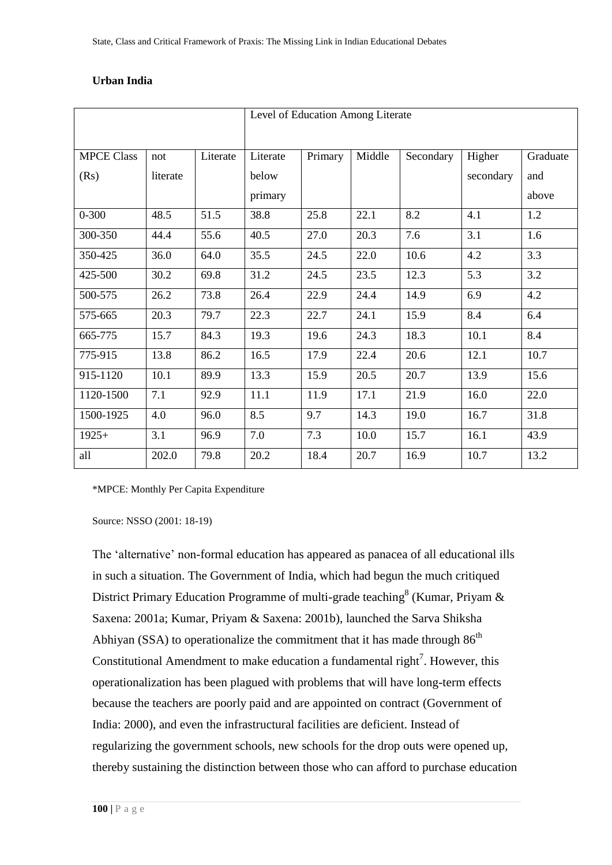|                   |          |          | Level of Education Among Literate |         |        |           |           |          |  |
|-------------------|----------|----------|-----------------------------------|---------|--------|-----------|-----------|----------|--|
|                   |          |          |                                   |         |        |           |           |          |  |
| <b>MPCE Class</b> | not      | Literate | Literate                          | Primary | Middle | Secondary | Higher    | Graduate |  |
| (Rs)              | literate |          | below                             |         |        |           | secondary | and      |  |
|                   |          |          | primary                           |         |        |           |           | above    |  |
| $0 - 300$         | 48.5     | 51.5     | 38.8                              | 25.8    | 22.1   | 8.2       | 4.1       | 1.2      |  |
| 300-350           | 44.4     | 55.6     | 40.5                              | 27.0    | 20.3   | 7.6       | 3.1       | 1.6      |  |
| 350-425           | 36.0     | 64.0     | 35.5                              | 24.5    | 22.0   | 10.6      | 4.2       | 3.3      |  |
| 425-500           | 30.2     | 69.8     | 31.2                              | 24.5    | 23.5   | 12.3      | 5.3       | 3.2      |  |
| 500-575           | 26.2     | 73.8     | 26.4                              | 22.9    | 24.4   | 14.9      | 6.9       | 4.2      |  |
| 575-665           | 20.3     | 79.7     | 22.3                              | 22.7    | 24.1   | 15.9      | 8.4       | 6.4      |  |
| 665-775           | 15.7     | 84.3     | 19.3                              | 19.6    | 24.3   | 18.3      | 10.1      | 8.4      |  |
| 775-915           | 13.8     | 86.2     | 16.5                              | 17.9    | 22.4   | 20.6      | 12.1      | 10.7     |  |
| 915-1120          | 10.1     | 89.9     | 13.3                              | 15.9    | 20.5   | 20.7      | 13.9      | 15.6     |  |
| 1120-1500         | 7.1      | 92.9     | 11.1                              | 11.9    | 17.1   | 21.9      | 16.0      | 22.0     |  |
| 1500-1925         | 4.0      | 96.0     | 8.5                               | 9.7     | 14.3   | 19.0      | 16.7      | 31.8     |  |
| $1925+$           | 3.1      | 96.9     | 7.0                               | 7.3     | 10.0   | 15.7      | 16.1      | 43.9     |  |
| all               | 202.0    | 79.8     | 20.2                              | 18.4    | 20.7   | 16.9      | 10.7      | 13.2     |  |

# **Urban India**

\*MPCE: Monthly Per Capita Expenditure

Source: NSSO (2001: 18-19)

The 'alternative' non-formal education has appeared as panacea of all educational ills in such a situation. The Government of India, which had begun the much critiqued District Primary Education Programme of multi-grade teaching  $(Kumar, Priyam \& K)$ Saxena: 2001a; Kumar, Priyam & Saxena: 2001b), launched the Sarva Shiksha Abhiyan (SSA) to operationalize the commitment that it has made through  $86<sup>th</sup>$ Constitutional Amendment to make education a fundamental right<sup>7</sup>. However, this operationalization has been plagued with problems that will have long-term effects because the teachers are poorly paid and are appointed on contract (Government of India: 2000), and even the infrastructural facilities are deficient. Instead of regularizing the government schools, new schools for the drop outs were opened up, thereby sustaining the distinction between those who can afford to purchase education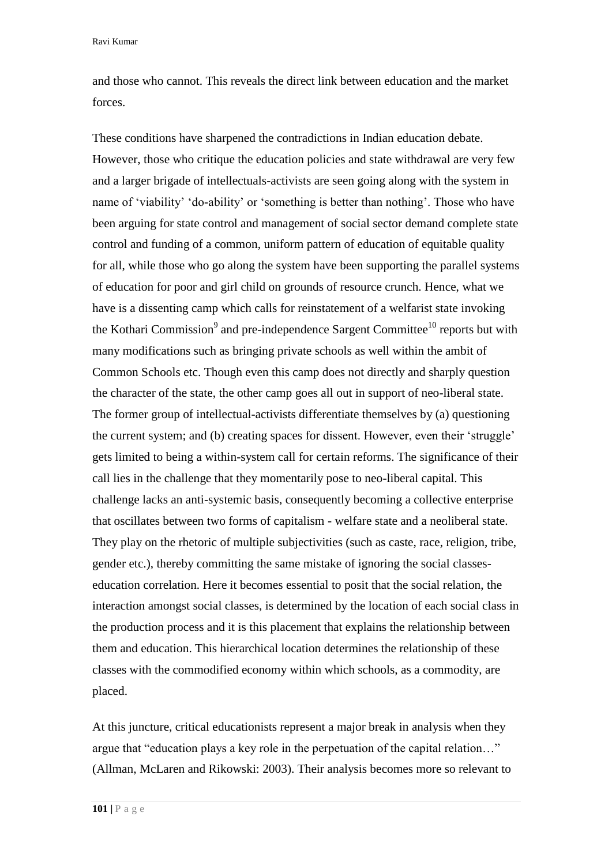and those who cannot. This reveals the direct link between education and the market forces.

These conditions have sharpened the contradictions in Indian education debate. However, those who critique the education policies and state withdrawal are very few and a larger brigade of intellectuals-activists are seen going along with the system in name of 'viability' 'do-ability' or 'something is better than nothing'. Those who have been arguing for state control and management of social sector demand complete state control and funding of a common, uniform pattern of education of equitable quality for all, while those who go along the system have been supporting the parallel systems of education for poor and girl child on grounds of resource crunch. Hence, what we have is a dissenting camp which calls for reinstatement of a welfarist state invoking the Kothari Commission<sup>9</sup> and pre-independence Sargent Committee<sup>10</sup> reports but with many modifications such as bringing private schools as well within the ambit of Common Schools etc. Though even this camp does not directly and sharply question the character of the state, the other camp goes all out in support of neo-liberal state. The former group of intellectual-activists differentiate themselves by (a) questioning the current system; and (b) creating spaces for dissent. However, even their 'struggle' gets limited to being a within-system call for certain reforms. The significance of their call lies in the challenge that they momentarily pose to neo-liberal capital. This challenge lacks an anti-systemic basis, consequently becoming a collective enterprise that oscillates between two forms of capitalism - welfare state and a neoliberal state. They play on the rhetoric of multiple subjectivities (such as caste, race, religion, tribe, gender etc.), thereby committing the same mistake of ignoring the social classeseducation correlation. Here it becomes essential to posit that the social relation, the interaction amongst social classes, is determined by the location of each social class in the production process and it is this placement that explains the relationship between them and education. This hierarchical location determines the relationship of these classes with the commodified economy within which schools, as a commodity, are placed.

At this juncture, critical educationists represent a major break in analysis when they argue that "education plays a key role in the perpetuation of the capital relation…" (Allman, McLaren and Rikowski: 2003). Their analysis becomes more so relevant to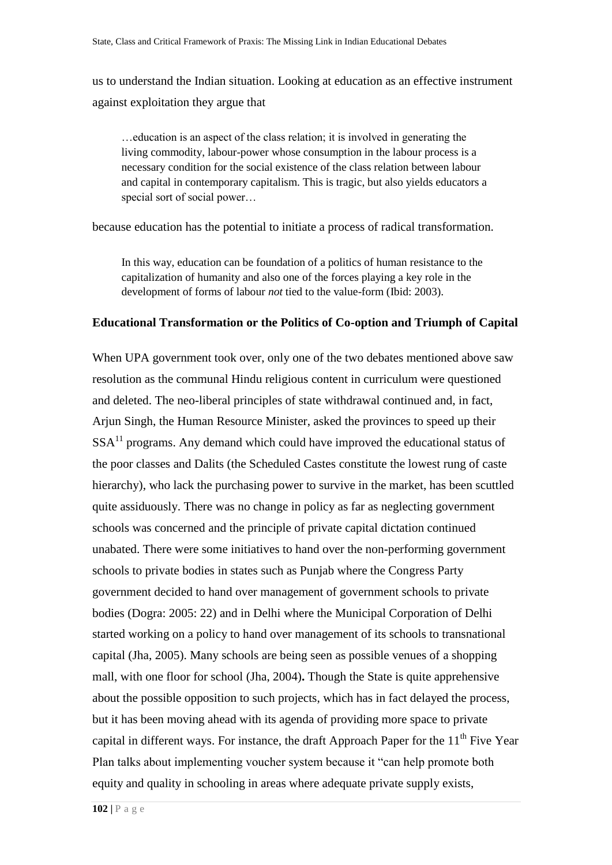us to understand the Indian situation. Looking at education as an effective instrument against exploitation they argue that

…education is an aspect of the class relation; it is involved in generating the living commodity, labour-power whose consumption in the labour process is a necessary condition for the social existence of the class relation between labour and capital in contemporary capitalism. This is tragic, but also yields educators a special sort of social power…

because education has the potential to initiate a process of radical transformation.

In this way, education can be foundation of a politics of human resistance to the capitalization of humanity and also one of the forces playing a key role in the development of forms of labour *not* tied to the value-form (Ibid: 2003).

#### **Educational Transformation or the Politics of Co-option and Triumph of Capital**

When UPA government took over, only one of the two debates mentioned above saw resolution as the communal Hindu religious content in curriculum were questioned and deleted. The neo-liberal principles of state withdrawal continued and, in fact, Arjun Singh, the Human Resource Minister, asked the provinces to speed up their  $SSA<sup>11</sup>$  programs. Any demand which could have improved the educational status of the poor classes and Dalits (the Scheduled Castes constitute the lowest rung of caste hierarchy), who lack the purchasing power to survive in the market, has been scuttled quite assiduously. There was no change in policy as far as neglecting government schools was concerned and the principle of private capital dictation continued unabated. There were some initiatives to hand over the non-performing government schools to private bodies in states such as Punjab where the Congress Party government decided to hand over management of government schools to private bodies (Dogra: 2005: 22) and in Delhi where the Municipal Corporation of Delhi started working on a policy to hand over management of its schools to transnational capital (Jha, 2005). Many schools are being seen as possible venues of a shopping mall, with one floor for school (Jha, 2004)**.** Though the State is quite apprehensive about the possible opposition to such projects, which has in fact delayed the process, but it has been moving ahead with its agenda of providing more space to private capital in different ways. For instance, the draft Approach Paper for the  $11<sup>th</sup>$  Five Year Plan talks about implementing voucher system because it "can help promote both equity and quality in schooling in areas where adequate private supply exists,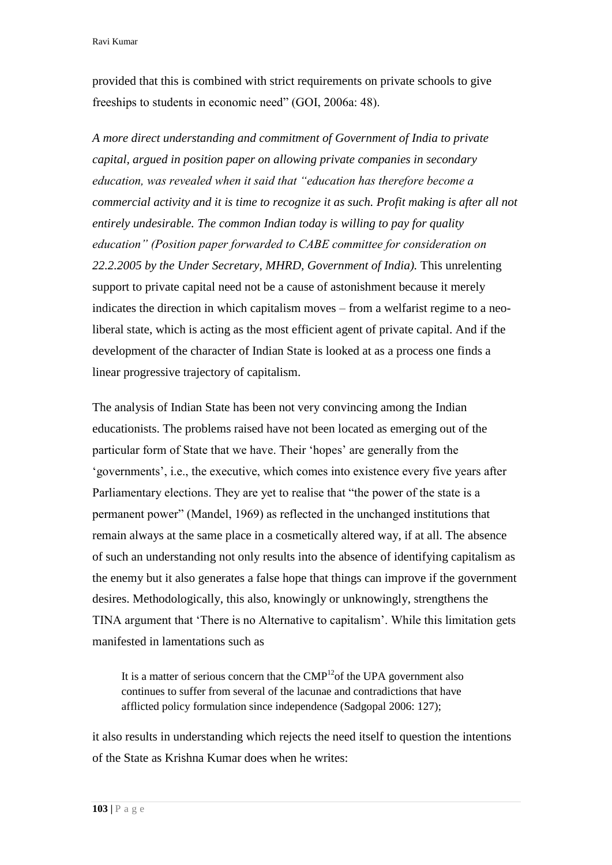provided that this is combined with strict requirements on private schools to give freeships to students in economic need" (GOI, 2006a: 48).

*A more direct understanding and commitment of Government of India to private capital, argued in position paper on allowing private companies in secondary education, was revealed when it said that "education has therefore become a commercial activity and it is time to recognize it as such. Profit making is after all not entirely undesirable. The common Indian today is willing to pay for quality education" (Position paper forwarded to CABE committee for consideration on 22.2.2005 by the Under Secretary, MHRD, Government of India).* This unrelenting support to private capital need not be a cause of astonishment because it merely indicates the direction in which capitalism moves – from a welfarist regime to a neoliberal state, which is acting as the most efficient agent of private capital. And if the development of the character of Indian State is looked at as a process one finds a linear progressive trajectory of capitalism.

The analysis of Indian State has been not very convincing among the Indian educationists. The problems raised have not been located as emerging out of the particular form of State that we have. Their 'hopes' are generally from the 'governments', i.e., the executive, which comes into existence every five years after Parliamentary elections. They are yet to realise that "the power of the state is a permanent power" (Mandel, 1969) as reflected in the unchanged institutions that remain always at the same place in a cosmetically altered way, if at all. The absence of such an understanding not only results into the absence of identifying capitalism as the enemy but it also generates a false hope that things can improve if the government desires. Methodologically, this also, knowingly or unknowingly, strengthens the TINA argument that 'There is no Alternative to capitalism'. While this limitation gets manifested in lamentations such as

It is a matter of serious concern that the  $\text{CMP}^{12}$  of the UPA government also continues to suffer from several of the lacunae and contradictions that have afflicted policy formulation since independence (Sadgopal 2006: 127);

it also results in understanding which rejects the need itself to question the intentions of the State as Krishna Kumar does when he writes: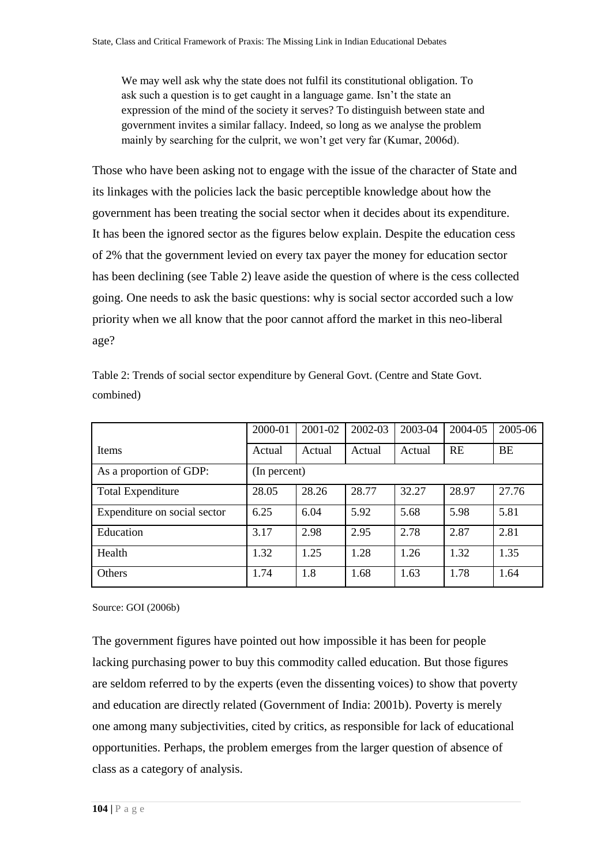We may well ask why the state does not fulfil its constitutional obligation. To ask such a question is to get caught in a language game. Isn't the state an expression of the mind of the society it serves? To distinguish between state and government invites a similar fallacy. Indeed, so long as we analyse the problem mainly by searching for the culprit, we won't get very far (Kumar, 2006d).

Those who have been asking not to engage with the issue of the character of State and its linkages with the policies lack the basic perceptible knowledge about how the government has been treating the social sector when it decides about its expenditure. It has been the ignored sector as the figures below explain. Despite the education cess of 2% that the government levied on every tax payer the money for education sector has been declining (see Table 2) leave aside the question of where is the cess collected going. One needs to ask the basic questions: why is social sector accorded such a low priority when we all know that the poor cannot afford the market in this neo-liberal age?

|                              | 2000-01      | 2001-02 | 2002-03 | 2003-04 | 2004-05   | 2005-06 |  |
|------------------------------|--------------|---------|---------|---------|-----------|---------|--|
| <b>Items</b>                 | Actual       | Actual  | Actual  | Actual  | <b>RE</b> | BE      |  |
| As a proportion of GDP:      | (In percent) |         |         |         |           |         |  |
| <b>Total Expenditure</b>     | 28.05        | 28.26   | 28.77   | 32.27   | 28.97     | 27.76   |  |
| Expenditure on social sector | 6.25         | 6.04    | 5.92    | 5.68    | 5.98      | 5.81    |  |
| Education                    | 3.17         | 2.98    | 2.95    | 2.78    | 2.87      | 2.81    |  |
| Health                       | 1.32         | 1.25    | 1.28    | 1.26    | 1.32      | 1.35    |  |
| Others                       | 1.74         | 1.8     | 1.68    | 1.63    | 1.78      | 1.64    |  |

Table 2: Trends of social sector expenditure by General Govt. (Centre and State Govt. combined)

Source: GOI (2006b)

The government figures have pointed out how impossible it has been for people lacking purchasing power to buy this commodity called education. But those figures are seldom referred to by the experts (even the dissenting voices) to show that poverty and education are directly related (Government of India: 2001b). Poverty is merely one among many subjectivities, cited by critics, as responsible for lack of educational opportunities. Perhaps, the problem emerges from the larger question of absence of class as a category of analysis.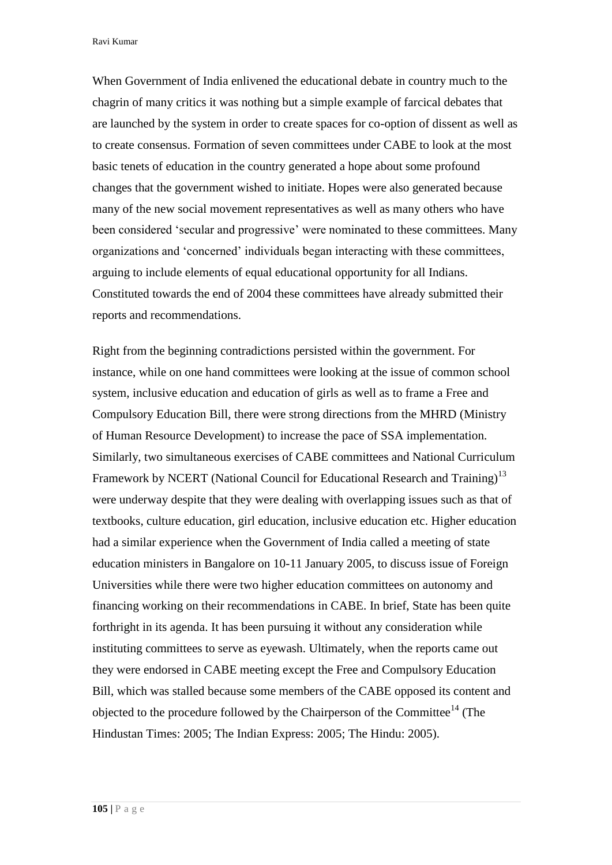Ravi Kumar

When Government of India enlivened the educational debate in country much to the chagrin of many critics it was nothing but a simple example of farcical debates that are launched by the system in order to create spaces for co-option of dissent as well as to create consensus. Formation of seven committees under CABE to look at the most basic tenets of education in the country generated a hope about some profound changes that the government wished to initiate. Hopes were also generated because many of the new social movement representatives as well as many others who have been considered 'secular and progressive' were nominated to these committees. Many organizations and 'concerned' individuals began interacting with these committees, arguing to include elements of equal educational opportunity for all Indians. Constituted towards the end of 2004 these committees have already submitted their reports and recommendations.

Right from the beginning contradictions persisted within the government. For instance, while on one hand committees were looking at the issue of common school system, inclusive education and education of girls as well as to frame a Free and Compulsory Education Bill, there were strong directions from the MHRD (Ministry of Human Resource Development) to increase the pace of SSA implementation. Similarly, two simultaneous exercises of CABE committees and National Curriculum Framework by NCERT (National Council for Educational Research and Training)<sup>13</sup> were underway despite that they were dealing with overlapping issues such as that of textbooks, culture education, girl education, inclusive education etc. Higher education had a similar experience when the Government of India called a meeting of state education ministers in Bangalore on 10-11 January 2005, to discuss issue of Foreign Universities while there were two higher education committees on autonomy and financing working on their recommendations in CABE. In brief, State has been quite forthright in its agenda. It has been pursuing it without any consideration while instituting committees to serve as eyewash. Ultimately, when the reports came out they were endorsed in CABE meeting except the Free and Compulsory Education Bill, which was stalled because some members of the CABE opposed its content and objected to the procedure followed by the Chairperson of the Committee<sup>14</sup> (The Hindustan Times: 2005; The Indian Express: 2005; The Hindu: 2005).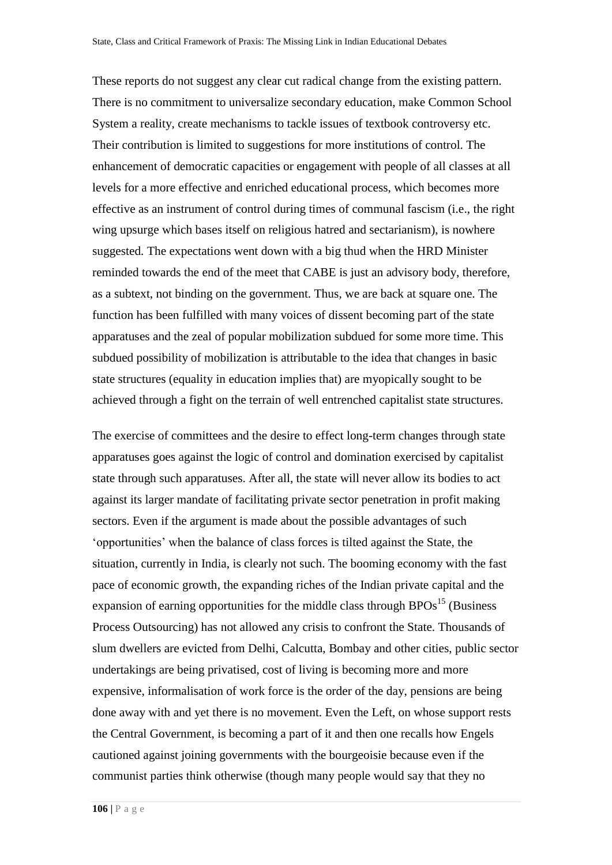These reports do not suggest any clear cut radical change from the existing pattern. There is no commitment to universalize secondary education, make Common School System a reality, create mechanisms to tackle issues of textbook controversy etc. Their contribution is limited to suggestions for more institutions of control. The enhancement of democratic capacities or engagement with people of all classes at all levels for a more effective and enriched educational process, which becomes more effective as an instrument of control during times of communal fascism (i.e., the right wing upsurge which bases itself on religious hatred and sectarianism), is nowhere suggested. The expectations went down with a big thud when the HRD Minister reminded towards the end of the meet that CABE is just an advisory body, therefore, as a subtext, not binding on the government. Thus, we are back at square one. The function has been fulfilled with many voices of dissent becoming part of the state apparatuses and the zeal of popular mobilization subdued for some more time. This subdued possibility of mobilization is attributable to the idea that changes in basic state structures (equality in education implies that) are myopically sought to be achieved through a fight on the terrain of well entrenched capitalist state structures.

The exercise of committees and the desire to effect long-term changes through state apparatuses goes against the logic of control and domination exercised by capitalist state through such apparatuses. After all, the state will never allow its bodies to act against its larger mandate of facilitating private sector penetration in profit making sectors. Even if the argument is made about the possible advantages of such 'opportunities' when the balance of class forces is tilted against the State, the situation, currently in India, is clearly not such. The booming economy with the fast pace of economic growth, the expanding riches of the Indian private capital and the expansion of earning opportunities for the middle class through  $BPOs<sup>15</sup>$  (Business Process Outsourcing) has not allowed any crisis to confront the State. Thousands of slum dwellers are evicted from Delhi, Calcutta, Bombay and other cities, public sector undertakings are being privatised, cost of living is becoming more and more expensive, informalisation of work force is the order of the day, pensions are being done away with and yet there is no movement. Even the Left, on whose support rests the Central Government, is becoming a part of it and then one recalls how Engels cautioned against joining governments with the bourgeoisie because even if the communist parties think otherwise (though many people would say that they no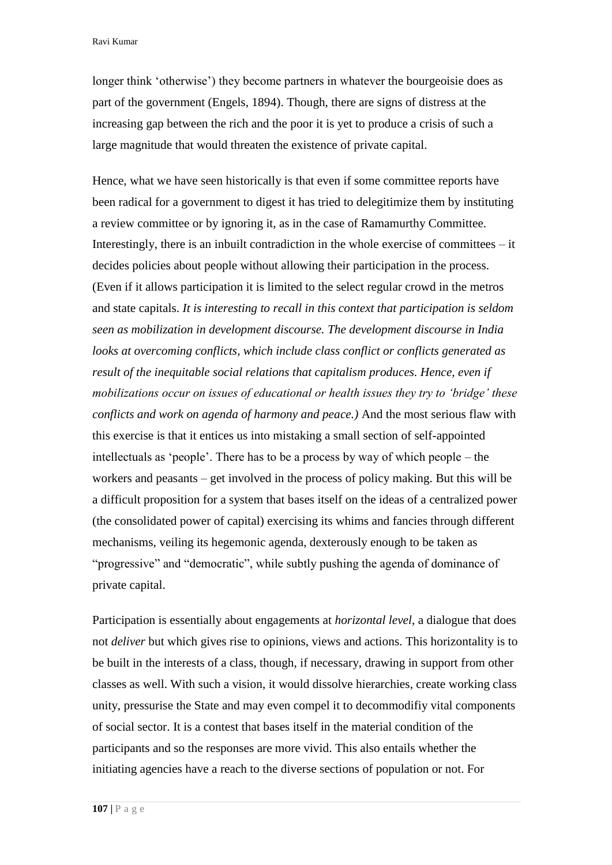longer think 'otherwise') they become partners in whatever the bourgeoisie does as part of the government (Engels, 1894). Though, there are signs of distress at the increasing gap between the rich and the poor it is yet to produce a crisis of such a large magnitude that would threaten the existence of private capital.

Hence, what we have seen historically is that even if some committee reports have been radical for a government to digest it has tried to delegitimize them by instituting a review committee or by ignoring it, as in the case of Ramamurthy Committee. Interestingly, there is an inbuilt contradiction in the whole exercise of committees – it decides policies about people without allowing their participation in the process. (Even if it allows participation it is limited to the select regular crowd in the metros and state capitals. *It is interesting to recall in this context that participation is seldom seen as mobilization in development discourse. The development discourse in India looks at overcoming conflicts, which include class conflict or conflicts generated as result of the inequitable social relations that capitalism produces. Hence, even if mobilizations occur on issues of educational or health issues they try to 'bridge' these conflicts and work on agenda of harmony and peace.)* And the most serious flaw with this exercise is that it entices us into mistaking a small section of self-appointed intellectuals as 'people'. There has to be a process by way of which people – the workers and peasants – get involved in the process of policy making. But this will be a difficult proposition for a system that bases itself on the ideas of a centralized power (the consolidated power of capital) exercising its whims and fancies through different mechanisms, veiling its hegemonic agenda, dexterously enough to be taken as "progressive" and "democratic", while subtly pushing the agenda of dominance of private capital.

Participation is essentially about engagements at *horizontal level*, a dialogue that does not *deliver* but which gives rise to opinions, views and actions. This horizontality is to be built in the interests of a class, though, if necessary, drawing in support from other classes as well. With such a vision, it would dissolve hierarchies, create working class unity, pressurise the State and may even compel it to decommodifiy vital components of social sector. It is a contest that bases itself in the material condition of the participants and so the responses are more vivid. This also entails whether the initiating agencies have a reach to the diverse sections of population or not. For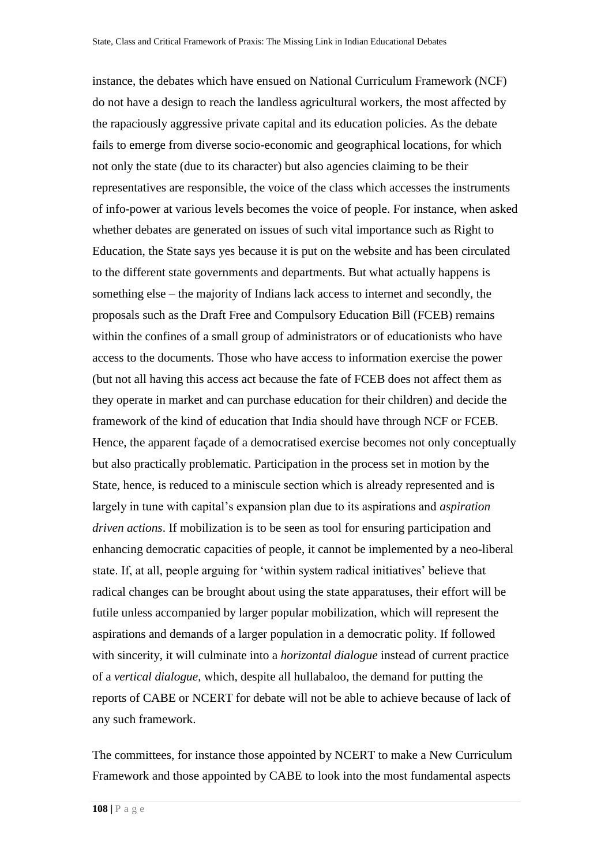instance, the debates which have ensued on National Curriculum Framework (NCF) do not have a design to reach the landless agricultural workers, the most affected by the rapaciously aggressive private capital and its education policies. As the debate fails to emerge from diverse socio-economic and geographical locations, for which not only the state (due to its character) but also agencies claiming to be their representatives are responsible, the voice of the class which accesses the instruments of info-power at various levels becomes the voice of people. For instance, when asked whether debates are generated on issues of such vital importance such as Right to Education, the State says yes because it is put on the website and has been circulated to the different state governments and departments. But what actually happens is something else – the majority of Indians lack access to internet and secondly, the proposals such as the Draft Free and Compulsory Education Bill (FCEB) remains within the confines of a small group of administrators or of educationists who have access to the documents. Those who have access to information exercise the power (but not all having this access act because the fate of FCEB does not affect them as they operate in market and can purchase education for their children) and decide the framework of the kind of education that India should have through NCF or FCEB. Hence, the apparent façade of a democratised exercise becomes not only conceptually but also practically problematic. Participation in the process set in motion by the State, hence, is reduced to a miniscule section which is already represented and is largely in tune with capital's expansion plan due to its aspirations and *aspiration driven actions*. If mobilization is to be seen as tool for ensuring participation and enhancing democratic capacities of people, it cannot be implemented by a neo-liberal state. If, at all, people arguing for 'within system radical initiatives' believe that radical changes can be brought about using the state apparatuses, their effort will be futile unless accompanied by larger popular mobilization, which will represent the aspirations and demands of a larger population in a democratic polity. If followed with sincerity, it will culminate into a *horizontal dialogue* instead of current practice of a *vertical dialogue*, which, despite all hullabaloo, the demand for putting the reports of CABE or NCERT for debate will not be able to achieve because of lack of any such framework.

The committees, for instance those appointed by NCERT to make a New Curriculum Framework and those appointed by CABE to look into the most fundamental aspects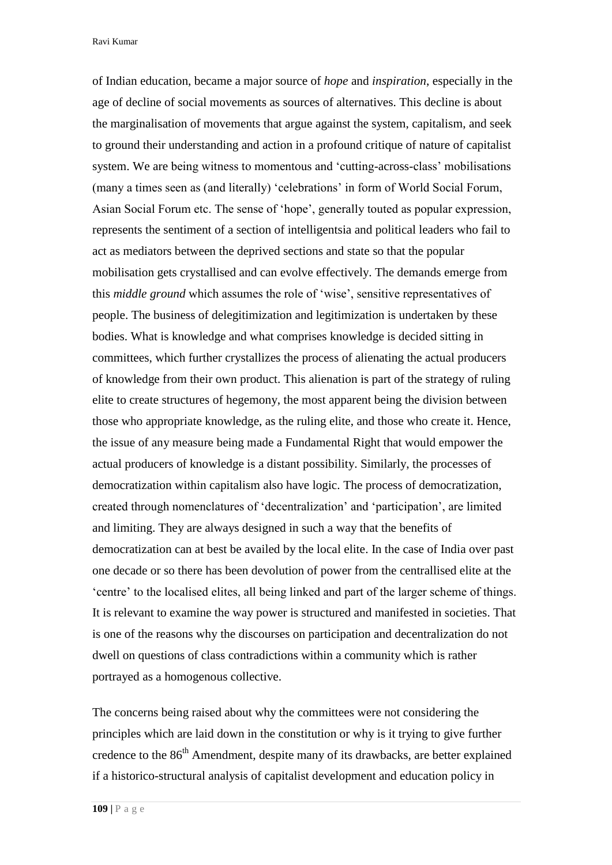Ravi Kumar

of Indian education, became a major source of *hope* and *inspiration*, especially in the age of decline of social movements as sources of alternatives. This decline is about the marginalisation of movements that argue against the system, capitalism, and seek to ground their understanding and action in a profound critique of nature of capitalist system. We are being witness to momentous and 'cutting-across-class' mobilisations (many a times seen as (and literally) 'celebrations' in form of World Social Forum, Asian Social Forum etc. The sense of 'hope', generally touted as popular expression, represents the sentiment of a section of intelligentsia and political leaders who fail to act as mediators between the deprived sections and state so that the popular mobilisation gets crystallised and can evolve effectively. The demands emerge from this *middle ground* which assumes the role of 'wise', sensitive representatives of people. The business of delegitimization and legitimization is undertaken by these bodies. What is knowledge and what comprises knowledge is decided sitting in committees, which further crystallizes the process of alienating the actual producers of knowledge from their own product. This alienation is part of the strategy of ruling elite to create structures of hegemony, the most apparent being the division between those who appropriate knowledge, as the ruling elite, and those who create it. Hence, the issue of any measure being made a Fundamental Right that would empower the actual producers of knowledge is a distant possibility. Similarly, the processes of democratization within capitalism also have logic. The process of democratization, created through nomenclatures of 'decentralization' and 'participation', are limited and limiting. They are always designed in such a way that the benefits of democratization can at best be availed by the local elite. In the case of India over past one decade or so there has been devolution of power from the centrallised elite at the 'centre' to the localised elites, all being linked and part of the larger scheme of things. It is relevant to examine the way power is structured and manifested in societies. That is one of the reasons why the discourses on participation and decentralization do not dwell on questions of class contradictions within a community which is rather portrayed as a homogenous collective.

The concerns being raised about why the committees were not considering the principles which are laid down in the constitution or why is it trying to give further credence to the  $86<sup>th</sup>$  Amendment, despite many of its drawbacks, are better explained if a historico-structural analysis of capitalist development and education policy in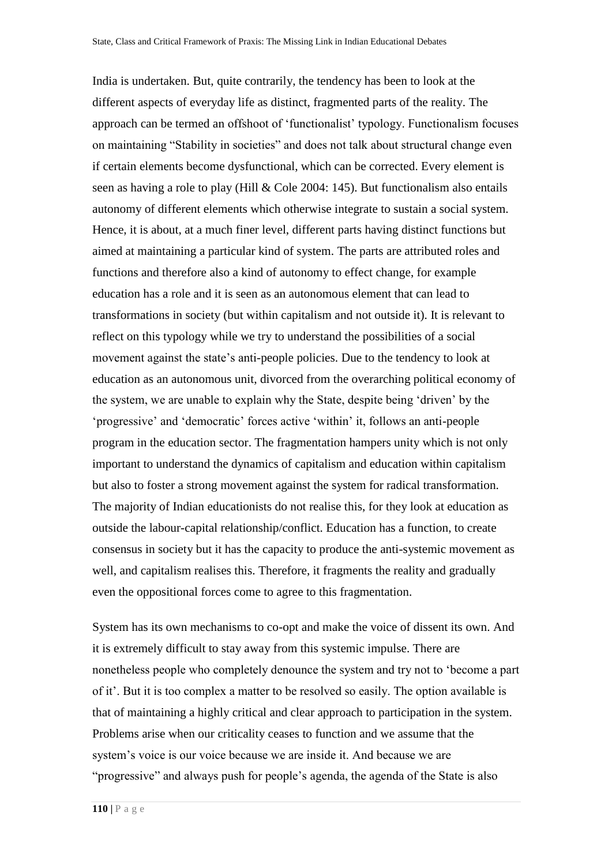India is undertaken. But, quite contrarily, the tendency has been to look at the different aspects of everyday life as distinct, fragmented parts of the reality. The approach can be termed an offshoot of 'functionalist' typology. Functionalism focuses on maintaining "Stability in societies" and does not talk about structural change even if certain elements become dysfunctional, which can be corrected. Every element is seen as having a role to play (Hill & Cole 2004: 145). But functionalism also entails autonomy of different elements which otherwise integrate to sustain a social system. Hence, it is about, at a much finer level, different parts having distinct functions but aimed at maintaining a particular kind of system. The parts are attributed roles and functions and therefore also a kind of autonomy to effect change, for example education has a role and it is seen as an autonomous element that can lead to transformations in society (but within capitalism and not outside it). It is relevant to reflect on this typology while we try to understand the possibilities of a social movement against the state's anti-people policies. Due to the tendency to look at education as an autonomous unit, divorced from the overarching political economy of the system, we are unable to explain why the State, despite being 'driven' by the 'progressive' and 'democratic' forces active 'within' it, follows an anti-people program in the education sector. The fragmentation hampers unity which is not only important to understand the dynamics of capitalism and education within capitalism but also to foster a strong movement against the system for radical transformation. The majority of Indian educationists do not realise this, for they look at education as outside the labour-capital relationship/conflict. Education has a function, to create consensus in society but it has the capacity to produce the anti-systemic movement as well, and capitalism realises this. Therefore, it fragments the reality and gradually even the oppositional forces come to agree to this fragmentation.

System has its own mechanisms to co-opt and make the voice of dissent its own. And it is extremely difficult to stay away from this systemic impulse. There are nonetheless people who completely denounce the system and try not to 'become a part of it'. But it is too complex a matter to be resolved so easily. The option available is that of maintaining a highly critical and clear approach to participation in the system. Problems arise when our criticality ceases to function and we assume that the system's voice is our voice because we are inside it. And because we are "progressive" and always push for people's agenda, the agenda of the State is also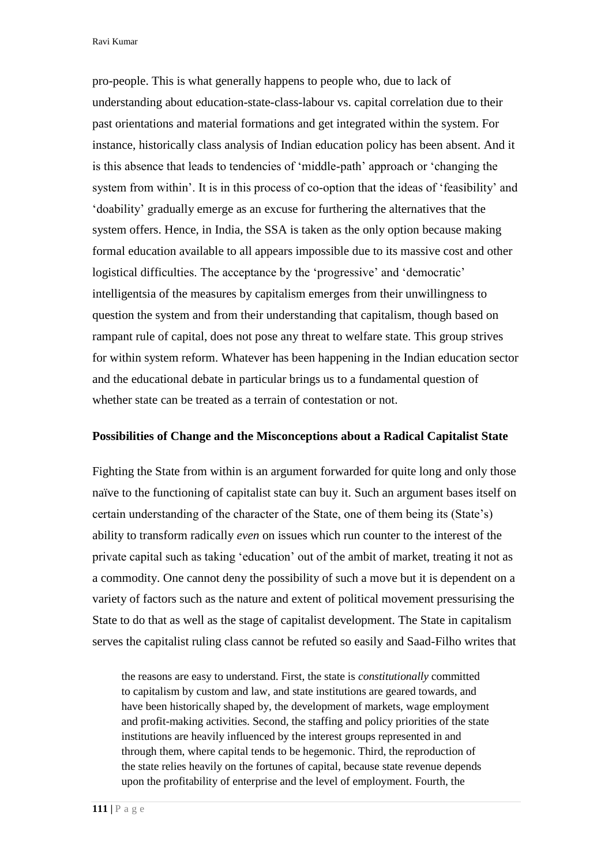Ravi Kumar

pro-people. This is what generally happens to people who, due to lack of understanding about education-state-class-labour vs. capital correlation due to their past orientations and material formations and get integrated within the system. For instance, historically class analysis of Indian education policy has been absent. And it is this absence that leads to tendencies of 'middle-path' approach or 'changing the system from within'. It is in this process of co-option that the ideas of 'feasibility' and 'doability' gradually emerge as an excuse for furthering the alternatives that the system offers. Hence, in India, the SSA is taken as the only option because making formal education available to all appears impossible due to its massive cost and other logistical difficulties. The acceptance by the 'progressive' and 'democratic' intelligentsia of the measures by capitalism emerges from their unwillingness to question the system and from their understanding that capitalism, though based on rampant rule of capital, does not pose any threat to welfare state. This group strives for within system reform. Whatever has been happening in the Indian education sector and the educational debate in particular brings us to a fundamental question of whether state can be treated as a terrain of contestation or not.

### **Possibilities of Change and the Misconceptions about a Radical Capitalist State**

Fighting the State from within is an argument forwarded for quite long and only those naïve to the functioning of capitalist state can buy it. Such an argument bases itself on certain understanding of the character of the State, one of them being its (State's) ability to transform radically *even* on issues which run counter to the interest of the private capital such as taking 'education' out of the ambit of market, treating it not as a commodity. One cannot deny the possibility of such a move but it is dependent on a variety of factors such as the nature and extent of political movement pressurising the State to do that as well as the stage of capitalist development. The State in capitalism serves the capitalist ruling class cannot be refuted so easily and Saad-Filho writes that

the reasons are easy to understand. First, the state is *constitutionally* committed to capitalism by custom and law, and state institutions are geared towards, and have been historically shaped by, the development of markets, wage employment and profit-making activities. Second, the staffing and policy priorities of the state institutions are heavily influenced by the interest groups represented in and through them, where capital tends to be hegemonic. Third, the reproduction of the state relies heavily on the fortunes of capital, because state revenue depends upon the profitability of enterprise and the level of employment. Fourth, the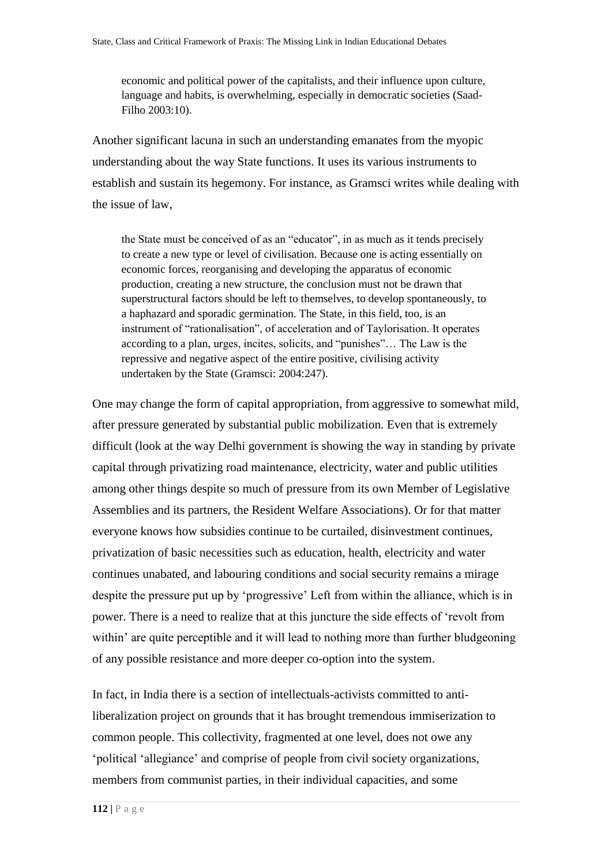economic and political power of the capitalists, and their influence upon culture, language and habits, is overwhelming, especially in democratic societies (Saad-Filho 2003:10).

Another significant lacuna in such an understanding emanates from the myopic understanding about the way State functions. It uses its various instruments to establish and sustain its hegemony. For instance, as Gramsci writes while dealing with the issue of law,

the State must be conceived of as an "educator", in as much as it tends precisely to create a new type or level of civilisation. Because one is acting essentially on economic forces, reorganising and developing the apparatus of economic production, creating a new structure, the conclusion must not be drawn that superstructural factors should be left to themselves, to develop spontaneously, to a haphazard and sporadic germination. The State, in this field, too, is an instrument of "rationalisation", of acceleration and of Taylorisation. It operates according to a plan, urges, incites, solicits, and "punishes"… The Law is the repressive and negative aspect of the entire positive, civilising activity undertaken by the State (Gramsci: 2004:247).

One may change the form of capital appropriation, from aggressive to somewhat mild, after pressure generated by substantial public mobilization. Even that is extremely difficult (look at the way Delhi government is showing the way in standing by private capital through privatizing road maintenance, electricity, water and public utilities among other things despite so much of pressure from its own Member of Legislative Assemblies and its partners, the Resident Welfare Associations). Or for that matter everyone knows how subsidies continue to be curtailed, disinvestment continues, privatization of basic necessities such as education, health, electricity and water continues unabated, and labouring conditions and social security remains a mirage despite the pressure put up by 'progressive' Left from within the alliance, which is in power. There is a need to realize that at this juncture the side effects of 'revolt from within' are quite perceptible and it will lead to nothing more than further bludgeoning of any possible resistance and more deeper co-option into the system.

In fact, in India there is a section of intellectuals-activists committed to antiliberalization project on grounds that it has brought tremendous immiserization to common people. This collectivity, fragmented at one level, does not owe any 'political 'allegiance' and comprise of people from civil society organizations, members from communist parties, in their individual capacities, and some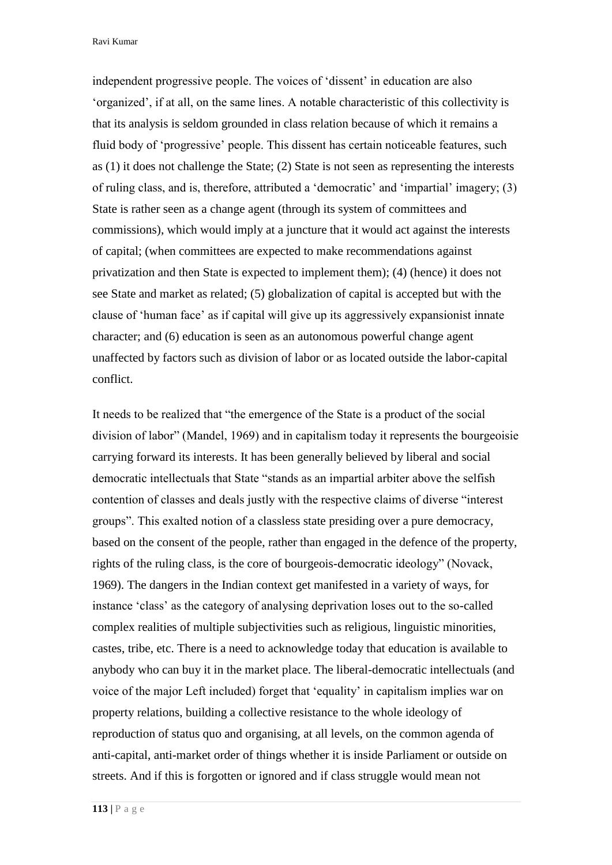Ravi Kumar

independent progressive people. The voices of 'dissent' in education are also 'organized', if at all, on the same lines. A notable characteristic of this collectivity is that its analysis is seldom grounded in class relation because of which it remains a fluid body of 'progressive' people. This dissent has certain noticeable features, such as (1) it does not challenge the State; (2) State is not seen as representing the interests of ruling class, and is, therefore, attributed a 'democratic' and 'impartial' imagery; (3) State is rather seen as a change agent (through its system of committees and commissions), which would imply at a juncture that it would act against the interests of capital; (when committees are expected to make recommendations against privatization and then State is expected to implement them); (4) (hence) it does not see State and market as related; (5) globalization of capital is accepted but with the clause of 'human face' as if capital will give up its aggressively expansionist innate character; and (6) education is seen as an autonomous powerful change agent unaffected by factors such as division of labor or as located outside the labor-capital conflict.

It needs to be realized that "the emergence of the State is a product of the social division of labor" (Mandel, 1969) and in capitalism today it represents the bourgeoisie carrying forward its interests. It has been generally believed by liberal and social democratic intellectuals that State "stands as an impartial arbiter above the selfish contention of classes and deals justly with the respective claims of diverse "interest groups". This exalted notion of a classless state presiding over a pure democracy, based on the consent of the people, rather than engaged in the defence of the property, rights of the ruling class, is the core of bourgeois-democratic ideology" (Novack, 1969). The dangers in the Indian context get manifested in a variety of ways, for instance 'class' as the category of analysing deprivation loses out to the so-called complex realities of multiple subjectivities such as religious, linguistic minorities, castes, tribe, etc. There is a need to acknowledge today that education is available to anybody who can buy it in the market place. The liberal-democratic intellectuals (and voice of the major Left included) forget that 'equality' in capitalism implies war on property relations, building a collective resistance to the whole ideology of reproduction of status quo and organising, at all levels, on the common agenda of anti-capital, anti-market order of things whether it is inside Parliament or outside on streets. And if this is forgotten or ignored and if class struggle would mean not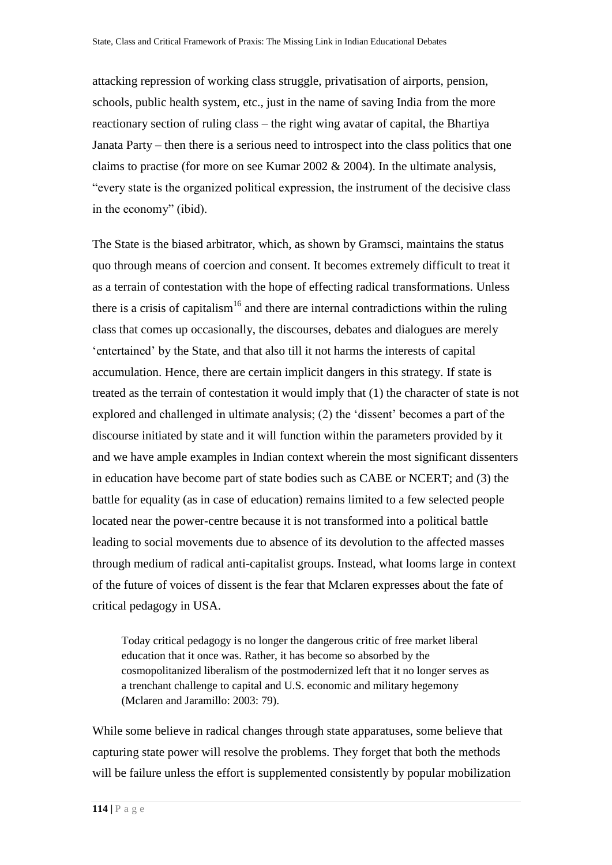attacking repression of working class struggle, privatisation of airports, pension, schools, public health system, etc., just in the name of saving India from the more reactionary section of ruling class – the right wing avatar of capital, the Bhartiya Janata Party – then there is a serious need to introspect into the class politics that one claims to practise (for more on see Kumar 2002  $& 2004$ ). In the ultimate analysis, "every state is the organized political expression, the instrument of the decisive class in the economy" (ibid).

The State is the biased arbitrator, which, as shown by Gramsci, maintains the status quo through means of coercion and consent. It becomes extremely difficult to treat it as a terrain of contestation with the hope of effecting radical transformations. Unless there is a crisis of capitalism<sup>16</sup> and there are internal contradictions within the ruling class that comes up occasionally, the discourses, debates and dialogues are merely 'entertained' by the State, and that also till it not harms the interests of capital accumulation. Hence, there are certain implicit dangers in this strategy. If state is treated as the terrain of contestation it would imply that (1) the character of state is not explored and challenged in ultimate analysis; (2) the 'dissent' becomes a part of the discourse initiated by state and it will function within the parameters provided by it and we have ample examples in Indian context wherein the most significant dissenters in education have become part of state bodies such as CABE or NCERT; and (3) the battle for equality (as in case of education) remains limited to a few selected people located near the power-centre because it is not transformed into a political battle leading to social movements due to absence of its devolution to the affected masses through medium of radical anti-capitalist groups. Instead, what looms large in context of the future of voices of dissent is the fear that Mclaren expresses about the fate of critical pedagogy in USA.

Today critical pedagogy is no longer the dangerous critic of free market liberal education that it once was. Rather, it has become so absorbed by the cosmopolitanized liberalism of the postmodernized left that it no longer serves as a trenchant challenge to capital and U.S. economic and military hegemony (Mclaren and Jaramillo: 2003: 79).

While some believe in radical changes through state apparatuses, some believe that capturing state power will resolve the problems. They forget that both the methods will be failure unless the effort is supplemented consistently by popular mobilization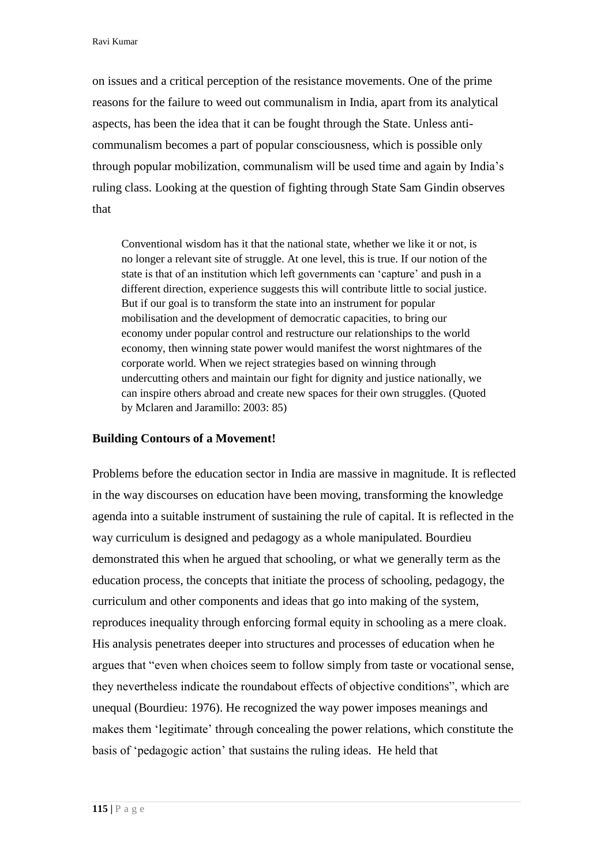on issues and a critical perception of the resistance movements. One of the prime reasons for the failure to weed out communalism in India, apart from its analytical aspects, has been the idea that it can be fought through the State. Unless anticommunalism becomes a part of popular consciousness, which is possible only through popular mobilization, communalism will be used time and again by India's ruling class. Looking at the question of fighting through State Sam Gindin observes that

Conventional wisdom has it that the national state, whether we like it or not, is no longer a relevant site of struggle. At one level, this is true. If our notion of the state is that of an institution which left governments can 'capture' and push in a different direction, experience suggests this will contribute little to social justice. But if our goal is to transform the state into an instrument for popular mobilisation and the development of democratic capacities, to bring our economy under popular control and restructure our relationships to the world economy, then winning state power would manifest the worst nightmares of the corporate world. When we reject strategies based on winning through undercutting others and maintain our fight for dignity and justice nationally, we can inspire others abroad and create new spaces for their own struggles. (Quoted by Mclaren and Jaramillo: 2003: 85)

#### **Building Contours of a Movement!**

Problems before the education sector in India are massive in magnitude. It is reflected in the way discourses on education have been moving, transforming the knowledge agenda into a suitable instrument of sustaining the rule of capital. It is reflected in the way curriculum is designed and pedagogy as a whole manipulated. Bourdieu demonstrated this when he argued that schooling, or what we generally term as the education process, the concepts that initiate the process of schooling, pedagogy, the curriculum and other components and ideas that go into making of the system, reproduces inequality through enforcing formal equity in schooling as a mere cloak. His analysis penetrates deeper into structures and processes of education when he argues that "even when choices seem to follow simply from taste or vocational sense, they nevertheless indicate the roundabout effects of objective conditions", which are unequal (Bourdieu: 1976). He recognized the way power imposes meanings and makes them 'legitimate' through concealing the power relations, which constitute the basis of 'pedagogic action' that sustains the ruling ideas. He held that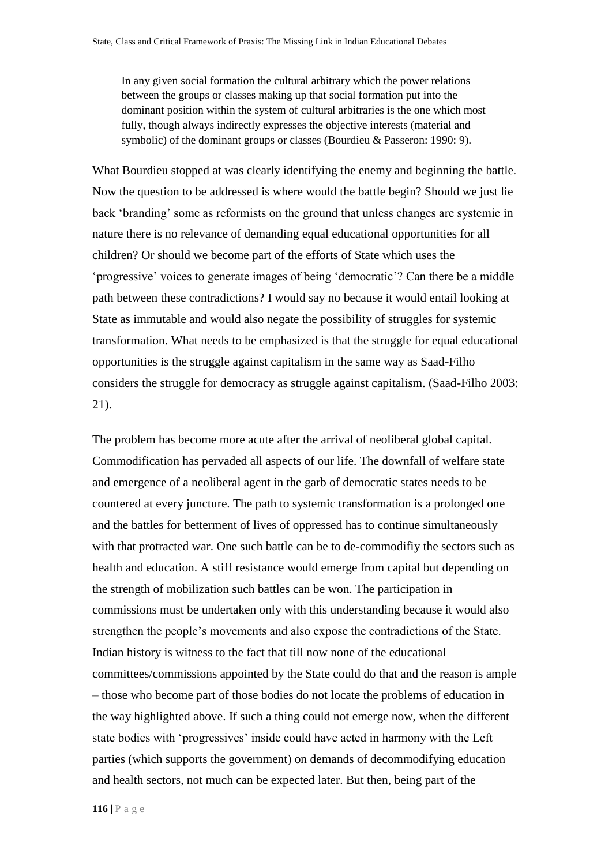In any given social formation the cultural arbitrary which the power relations between the groups or classes making up that social formation put into the dominant position within the system of cultural arbitraries is the one which most fully, though always indirectly expresses the objective interests (material and symbolic) of the dominant groups or classes (Bourdieu & Passeron: 1990: 9).

What Bourdieu stopped at was clearly identifying the enemy and beginning the battle. Now the question to be addressed is where would the battle begin? Should we just lie back 'branding' some as reformists on the ground that unless changes are systemic in nature there is no relevance of demanding equal educational opportunities for all children? Or should we become part of the efforts of State which uses the 'progressive' voices to generate images of being 'democratic'? Can there be a middle path between these contradictions? I would say no because it would entail looking at State as immutable and would also negate the possibility of struggles for systemic transformation. What needs to be emphasized is that the struggle for equal educational opportunities is the struggle against capitalism in the same way as Saad-Filho considers the struggle for democracy as struggle against capitalism. (Saad-Filho 2003: 21).

The problem has become more acute after the arrival of neoliberal global capital. Commodification has pervaded all aspects of our life. The downfall of welfare state and emergence of a neoliberal agent in the garb of democratic states needs to be countered at every juncture. The path to systemic transformation is a prolonged one and the battles for betterment of lives of oppressed has to continue simultaneously with that protracted war. One such battle can be to de-commodifiy the sectors such as health and education. A stiff resistance would emerge from capital but depending on the strength of mobilization such battles can be won. The participation in commissions must be undertaken only with this understanding because it would also strengthen the people's movements and also expose the contradictions of the State. Indian history is witness to the fact that till now none of the educational committees/commissions appointed by the State could do that and the reason is ample – those who become part of those bodies do not locate the problems of education in the way highlighted above. If such a thing could not emerge now, when the different state bodies with 'progressives' inside could have acted in harmony with the Left parties (which supports the government) on demands of decommodifying education and health sectors, not much can be expected later. But then, being part of the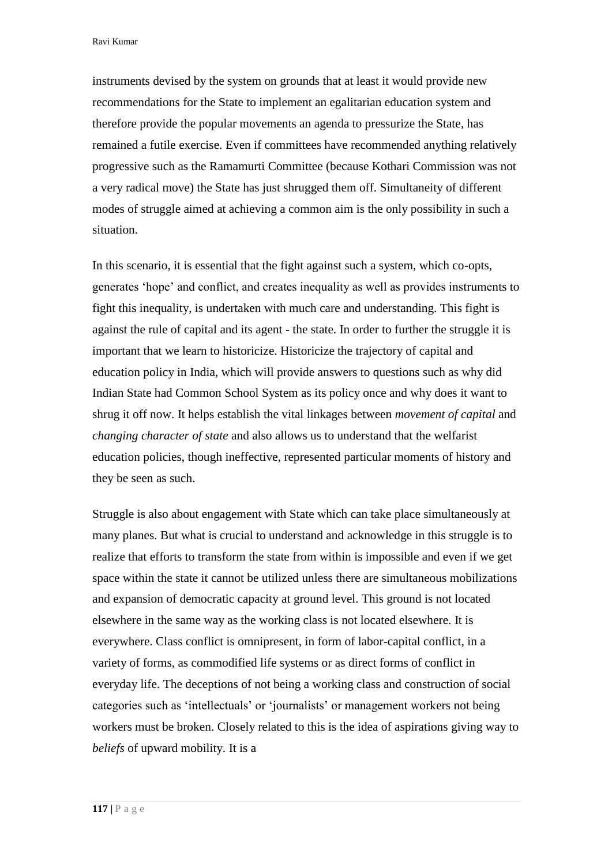Ravi Kumar

instruments devised by the system on grounds that at least it would provide new recommendations for the State to implement an egalitarian education system and therefore provide the popular movements an agenda to pressurize the State, has remained a futile exercise. Even if committees have recommended anything relatively progressive such as the Ramamurti Committee (because Kothari Commission was not a very radical move) the State has just shrugged them off. Simultaneity of different modes of struggle aimed at achieving a common aim is the only possibility in such a situation.

In this scenario, it is essential that the fight against such a system, which co-opts, generates 'hope' and conflict, and creates inequality as well as provides instruments to fight this inequality, is undertaken with much care and understanding. This fight is against the rule of capital and its agent - the state. In order to further the struggle it is important that we learn to historicize. Historicize the trajectory of capital and education policy in India, which will provide answers to questions such as why did Indian State had Common School System as its policy once and why does it want to shrug it off now. It helps establish the vital linkages between *movement of capital* and *changing character of state* and also allows us to understand that the welfarist education policies, though ineffective, represented particular moments of history and they be seen as such.

Struggle is also about engagement with State which can take place simultaneously at many planes. But what is crucial to understand and acknowledge in this struggle is to realize that efforts to transform the state from within is impossible and even if we get space within the state it cannot be utilized unless there are simultaneous mobilizations and expansion of democratic capacity at ground level. This ground is not located elsewhere in the same way as the working class is not located elsewhere. It is everywhere. Class conflict is omnipresent, in form of labor-capital conflict, in a variety of forms, as commodified life systems or as direct forms of conflict in everyday life. The deceptions of not being a working class and construction of social categories such as 'intellectuals' or 'journalists' or management workers not being workers must be broken. Closely related to this is the idea of aspirations giving way to *beliefs* of upward mobility. It is a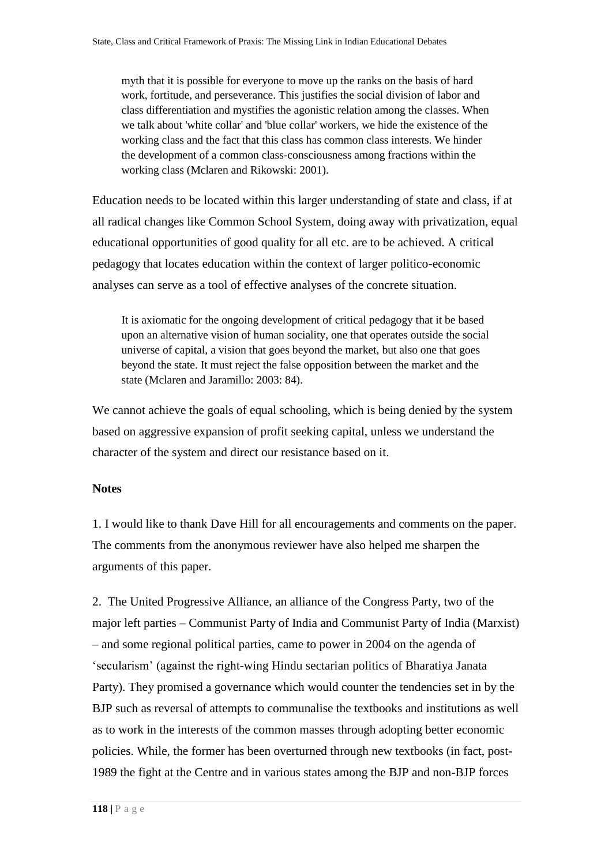myth that it is possible for everyone to move up the ranks on the basis of hard work, fortitude, and perseverance. This justifies the social division of labor and class differentiation and mystifies the agonistic relation among the classes. When we talk about 'white collar' and 'blue collar' workers, we hide the existence of the working class and the fact that this class has common class interests. We hinder the development of a common class-consciousness among fractions within the working class (Mclaren and Rikowski: 2001).

Education needs to be located within this larger understanding of state and class, if at all radical changes like Common School System, doing away with privatization, equal educational opportunities of good quality for all etc. are to be achieved. A critical pedagogy that locates education within the context of larger politico-economic analyses can serve as a tool of effective analyses of the concrete situation.

It is axiomatic for the ongoing development of critical pedagogy that it be based upon an alternative vision of human sociality, one that operates outside the social universe of capital, a vision that goes beyond the market, but also one that goes beyond the state. It must reject the false opposition between the market and the state (Mclaren and Jaramillo: 2003: 84).

We cannot achieve the goals of equal schooling, which is being denied by the system based on aggressive expansion of profit seeking capital, unless we understand the character of the system and direct our resistance based on it.

### **Notes**

[1.](http://www.jceps.com/index.php?pageID=article&articleID=68#sdendnote1anc) I would like to thank Dave Hill for all encouragements and comments on the paper. The comments from the anonymous reviewer have also helped me sharpen the arguments of this paper.

[2.](http://www.jceps.com/index.php?pageID=article&articleID=68#sdendnote2anc) The United Progressive Alliance, an alliance of the Congress Party, two of the major left parties – Communist Party of India and Communist Party of India (Marxist) – and some regional political parties, came to power in 2004 on the agenda of 'secularism' (against the right-wing Hindu sectarian politics of Bharatiya Janata Party). They promised a governance which would counter the tendencies set in by the BJP such as reversal of attempts to communalise the textbooks and institutions as well as to work in the interests of the common masses through adopting better economic policies. While, the former has been overturned through new textbooks (in fact, post-1989 the fight at the Centre and in various states among the BJP and non-BJP forces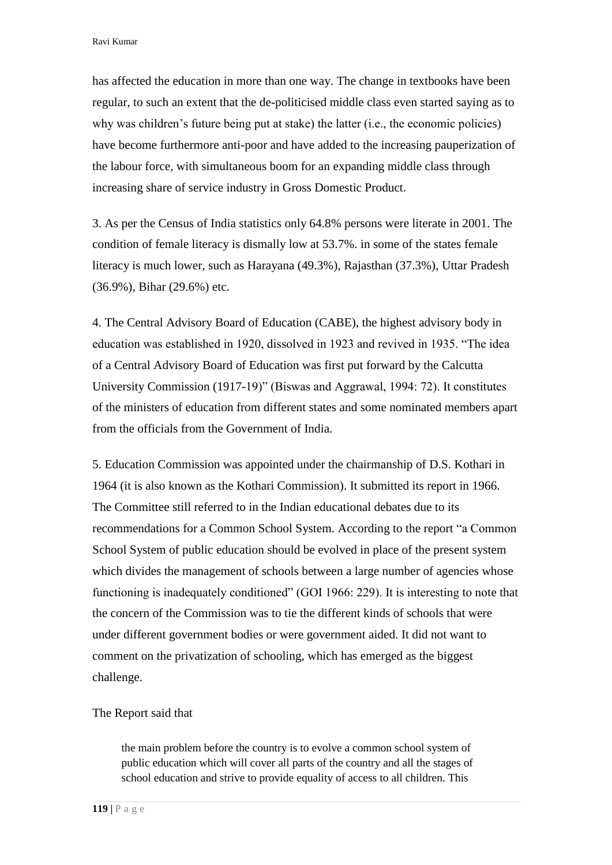has affected the education in more than one way. The change in textbooks have been regular, to such an extent that the de-politicised middle class even started saying as to why was children's future being put at stake) the latter (i.e., the economic policies) have become furthermore anti-poor and have added to the increasing pauperization of the labour force, with simultaneous boom for an expanding middle class through increasing share of service industry in Gross Domestic Product.

3. As per the Census of India statistics only 64.8% persons were literate in 2001. The condition of female literacy is dismally low at 53.7%. in some of the states female literacy is much lower, such as Harayana (49.3%), Rajasthan (37.3%), Uttar Pradesh (36.9%), Bihar (29.6%) etc.

4. The Central Advisory Board of Education (CABE), the highest advisory body in education was established in 1920, dissolved in 1923 and revived in 1935. "The idea of a Central Advisory Board of Education was first put forward by the Calcutta University Commission (1917-19)" (Biswas and Aggrawal, 1994: 72). It constitutes of the ministers of education from different states and some nominated members apart from the officials from the Government of India.

5. Education Commission was appointed under the chairmanship of D.S. Kothari in 1964 (it is also known as the Kothari Commission). It submitted its report in 1966. The Committee still referred to in the Indian educational debates due to its recommendations for a Common School System. According to the report "a Common School System of public education should be evolved in place of the present system which divides the management of schools between a large number of agencies whose functioning is inadequately conditioned" (GOI 1966: 229). It is interesting to note that the concern of the Commission was to tie the different kinds of schools that were under different government bodies or were government aided. It did not want to comment on the privatization of schooling, which has emerged as the biggest challenge.

#### The Report said that

the main problem before the country is to evolve a common school system of public education which will cover all parts of the country and all the stages of school education and strive to provide equality of access to all children. This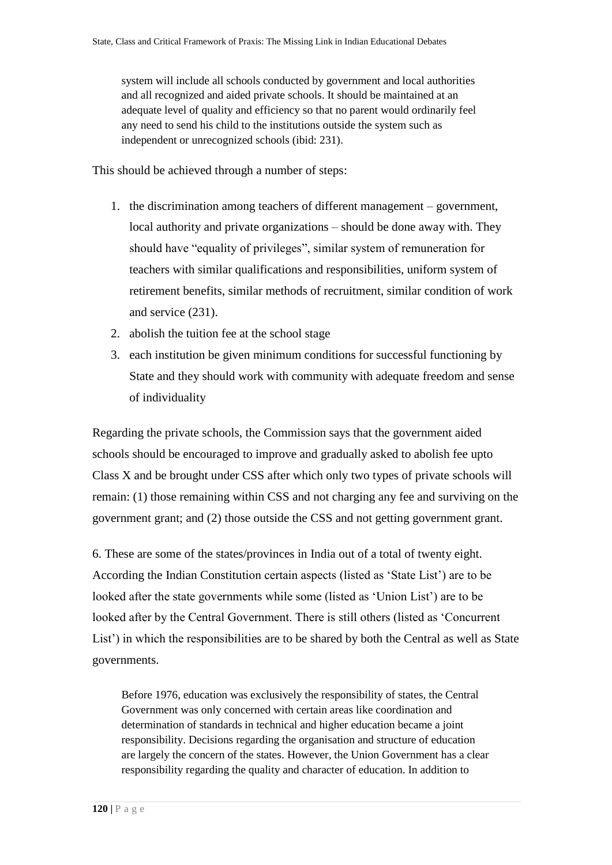system will include all schools conducted by government and local authorities and all recognized and aided private schools. It should be maintained at an adequate level of quality and efficiency so that no parent would ordinarily feel any need to send his child to the institutions outside the system such as independent or unrecognized schools (ibid: 231).

This should be achieved through a number of steps:

- 1. the discrimination among teachers of different management government, local authority and private organizations – should be done away with. They should have "equality of privileges", similar system of remuneration for teachers with similar qualifications and responsibilities, uniform system of retirement benefits, similar methods of recruitment, similar condition of work and service (231).
- 2. abolish the tuition fee at the school stage
- 3. each institution be given minimum conditions for successful functioning by State and they should work with community with adequate freedom and sense of individuality

Regarding the private schools, the Commission says that the government aided schools should be encouraged to improve and gradually asked to abolish fee upto Class X and be brought under CSS after which only two types of private schools will remain: (1) those remaining within CSS and not charging any fee and surviving on the government grant; and (2) those outside the CSS and not getting government grant.

6. These are some of the states/provinces in India out of a total of twenty eight. According the Indian Constitution certain aspects (listed as 'State List') are to be looked after the state governments while some (listed as 'Union List') are to be looked after by the Central Government. There is still others (listed as 'Concurrent List') in which the responsibilities are to be shared by both the Central as well as State governments.

Before 1976, education was exclusively the responsibility of states, the Central Government was only concerned with certain areas like coordination and determination of standards in technical and higher education became a joint responsibility. Decisions regarding the organisation and structure of education are largely the concern of the states. However, the Union Government has a clear responsibility regarding the quality and character of education. In addition to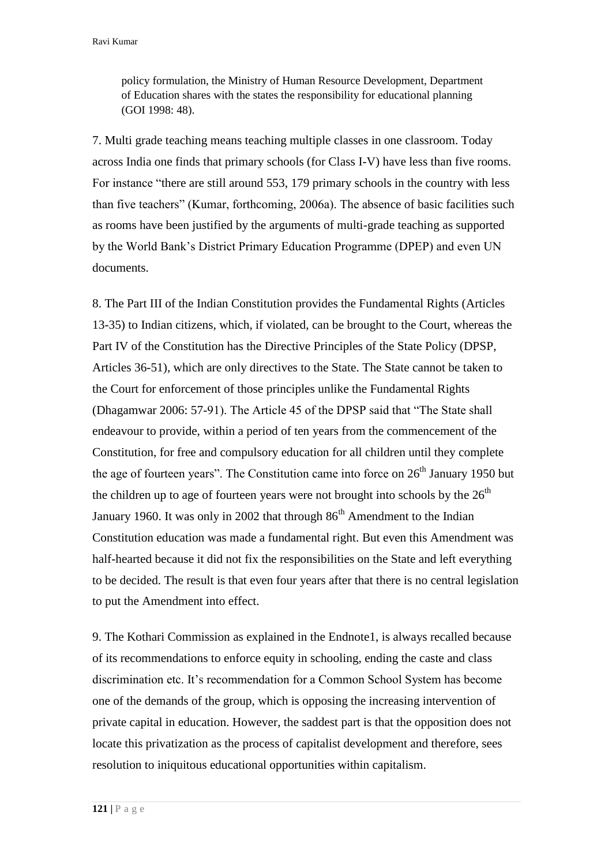policy formulation, the Ministry of Human Resource Development, Department of Education shares with the states the responsibility for educational planning (GOI 1998: 48).

7. Multi grade teaching means teaching multiple classes in one classroom. Today across India one finds that primary schools (for Class I-V) have less than five rooms. For instance "there are still around 553, 179 primary schools in the country with less than five teachers" (Kumar, forthcoming, 2006a). The absence of basic facilities such as rooms have been justified by the arguments of multi-grade teaching as supported by the World Bank's District Primary Education Programme (DPEP) and even UN documents.

8. The Part III of the Indian Constitution provides the Fundamental Rights (Articles 13-35) to Indian citizens, which, if violated, can be brought to the Court, whereas the Part IV of the Constitution has the Directive Principles of the State Policy (DPSP, Articles 36-51), which are only directives to the State. The State cannot be taken to the Court for enforcement of those principles unlike the Fundamental Rights (Dhagamwar 2006: 57-91). The Article 45 of the DPSP said that "The State shall endeavour to provide, within a period of ten years from the commencement of the Constitution, for free and compulsory education for all children until they complete the age of fourteen years". The Constitution came into force on  $26<sup>th</sup>$  January 1950 but the children up to age of fourteen years were not brought into schools by the  $26<sup>th</sup>$ January 1960. It was only in 2002 that through  $86<sup>th</sup>$  Amendment to the Indian Constitution education was made a fundamental right. But even this Amendment was half-hearted because it did not fix the responsibilities on the State and left everything to be decided. The result is that even four years after that there is no central legislation to put the Amendment into effect.

9. The Kothari Commission as explained in the Endnote1, is always recalled because of its recommendations to enforce equity in schooling, ending the caste and class discrimination etc. It's recommendation for a Common School System has become one of the demands of the group, which is opposing the increasing intervention of private capital in education. However, the saddest part is that the opposition does not locate this privatization as the process of capitalist development and therefore, sees resolution to iniquitous educational opportunities within capitalism.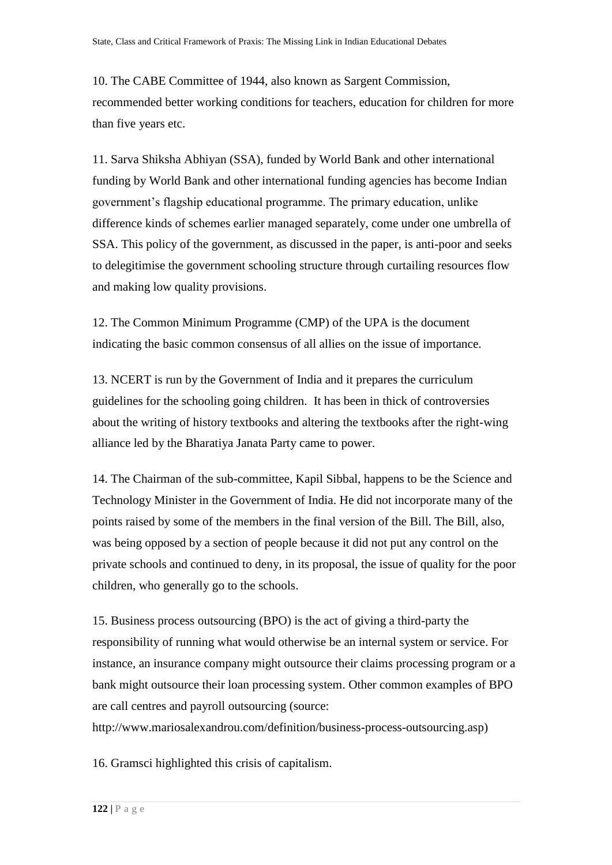10. The CABE Committee of 1944, also known as Sargent Commission, recommended better working conditions for teachers, education for children for more than five years etc.

11. Sarva Shiksha Abhiyan (SSA), funded by World Bank and other international funding by World Bank and other international funding agencies has become Indian government's flagship educational programme. The primary education, unlike difference kinds of schemes earlier managed separately, come under one umbrella of SSA. This policy of the government, as discussed in the paper, is anti-poor and seeks to delegitimise the government schooling structure through curtailing resources flow and making low quality provisions.

12. The Common Minimum Programme (CMP) of the UPA is the document indicating the basic common consensus of all allies on the issue of importance.

13. NCERT is run by the Government of India and it prepares the curriculum guidelines for the schooling going children. It has been in thick of controversies about the writing of history textbooks and altering the textbooks after the right-wing alliance led by the Bharatiya Janata Party came to power.

14. The Chairman of the sub-committee, Kapil Sibbal, happens to be the Science and Technology Minister in the Government of India. He did not incorporate many of the points raised by some of the members in the final version of the Bill. The Bill, also, was being opposed by a section of people because it did not put any control on the private schools and continued to deny, in its proposal, the issue of quality for the poor children, who generally go to the schools.

15. Business process outsourcing (BPO) is the act of giving a third-party the responsibility of running what would otherwise be an internal system or service. For instance, an insurance company might outsource their claims processing program or a bank might outsource their loan processing system. Other common examples of BPO are call centres and payroll outsourcing (source:

http://www.mariosalexandrou.com/definition/business-process-outsourcing.asp)

16. Gramsci highlighted this crisis of capitalism.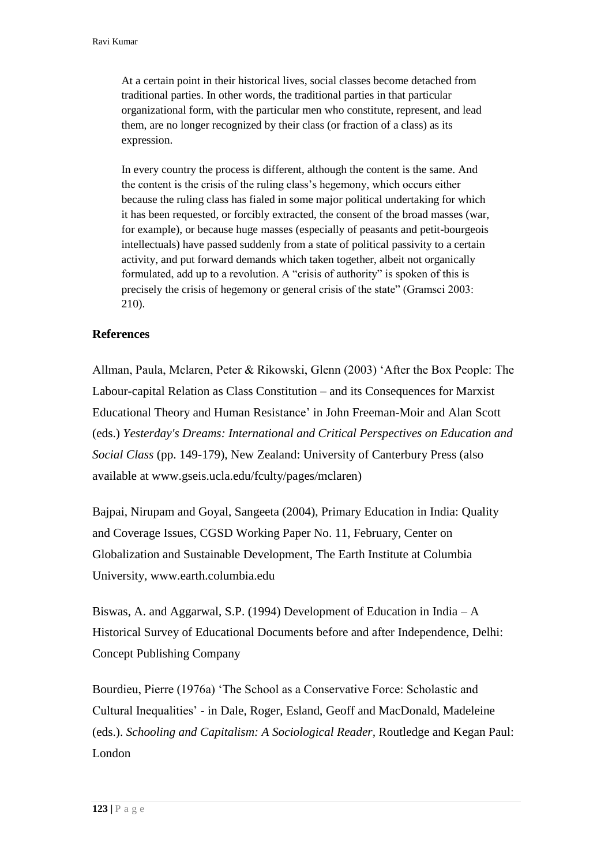At a certain point in their historical lives, social classes become detached from traditional parties. In other words, the traditional parties in that particular organizational form, with the particular men who constitute, represent, and lead them, are no longer recognized by their class (or fraction of a class) as its expression.

In every country the process is different, although the content is the same. And the content is the crisis of the ruling class's hegemony, which occurs either because the ruling class has fialed in some major political undertaking for which it has been requested, or forcibly extracted, the consent of the broad masses (war, for example), or because huge masses (especially of peasants and petit-bourgeois intellectuals) have passed suddenly from a state of political passivity to a certain activity, and put forward demands which taken together, albeit not organically formulated, add up to a revolution. A "crisis of authority" is spoken of this is precisely the crisis of hegemony or general crisis of the state" (Gramsci 2003: 210).

## **References**

Allman, Paula, Mclaren, Peter & Rikowski, Glenn (2003) 'After the Box People: The Labour-capital Relation as Class Constitution – and its Consequences for Marxist Educational Theory and Human Resistance' in John Freeman-Moir and Alan Scott (eds.) *Yesterday's Dreams: International and Critical Perspectives on Education and Social Class* (pp. 149-179), New Zealand: University of Canterbury Press (also available at [www.gseis.ucla.edu/fculty/pages/mclaren\)](http://www.gseis.ucla.edu/fculty/pages/mclaren)

Bajpai, Nirupam and Goyal, Sangeeta (2004), Primary Education in India: Quality and Coverage Issues, CGSD Working Paper No. 11, February, Center on Globalization and Sustainable Development, The Earth Institute at Columbia University, www.earth.columbia.edu

Biswas, A. and Aggarwal, S.P. (1994) Development of Education in India – A Historical Survey of Educational Documents before and after Independence, Delhi: Concept Publishing Company

Bourdieu, Pierre (1976a) 'The School as a Conservative Force: Scholastic and Cultural Inequalities' - in Dale, Roger, Esland, Geoff and MacDonald, Madeleine (eds.). *Schooling and Capitalism: A Sociological Reader,* Routledge and Kegan Paul: London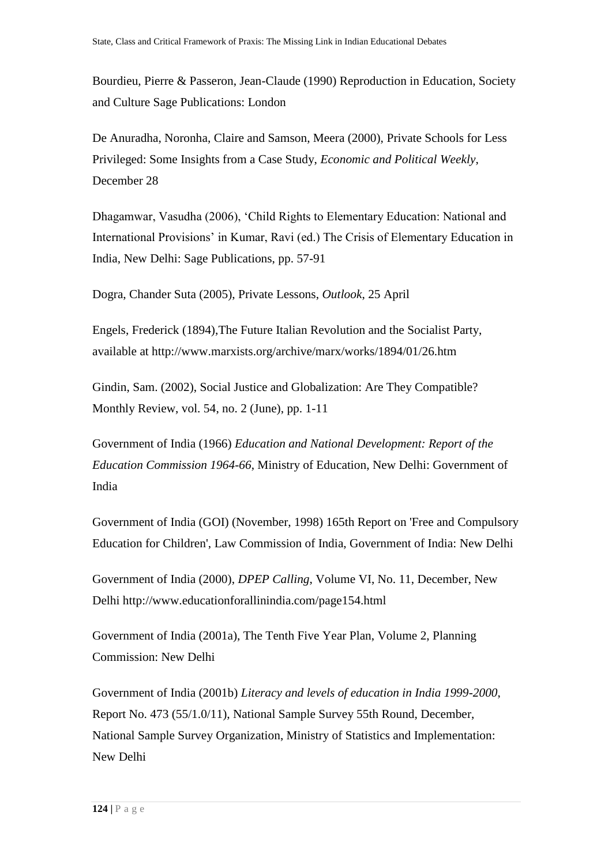Bourdieu, Pierre & Passeron, Jean-Claude (1990) Reproduction in Education, Society and Culture Sage Publications: London

De Anuradha, Noronha, Claire and Samson, Meera (2000), Private Schools for Less Privileged: Some Insights from a Case Study, *Economic and Political Weekly*, December 28

Dhagamwar, Vasudha (2006), 'Child Rights to Elementary Education: National and International Provisions' in Kumar, Ravi (ed.) The Crisis of Elementary Education in India, New Delhi: Sage Publications, pp. 57-91

Dogra, Chander Suta (2005), Private Lessons, *Outlook*, 25 April

Engels, Frederick (1894),The Future Italian Revolution and the Socialist Party, available at http://www.marxists.org/archive/marx/works/1894/01/26.htm

Gindin, Sam. (2002), Social Justice and Globalization: Are They Compatible? Monthly Review, vol. 54, no. 2 (June), pp. 1-11

Government of India (1966) *Education and National Development: Report of the Education Commission 1964-66*, Ministry of Education, New Delhi: Government of India

Government of India (GOI) (November, 1998) 165th Report on 'Free and Compulsory Education for Children', Law Commission of India, Government of India: New Delhi

Government of India (2000), *DPEP Calling*, Volume VI, No. 11, December, New Delhi<http://www.educationforallinindia.com/page154.html>

Government of India (2001a), The Tenth Five Year Plan, Volume 2, Planning Commission: New Delhi

Government of India (2001b) *Literacy and levels of education in India 1999-2000*, Report No. 473 (55/1.0/11), National Sample Survey 55th Round, December, National Sample Survey Organization, Ministry of Statistics and Implementation: New Delhi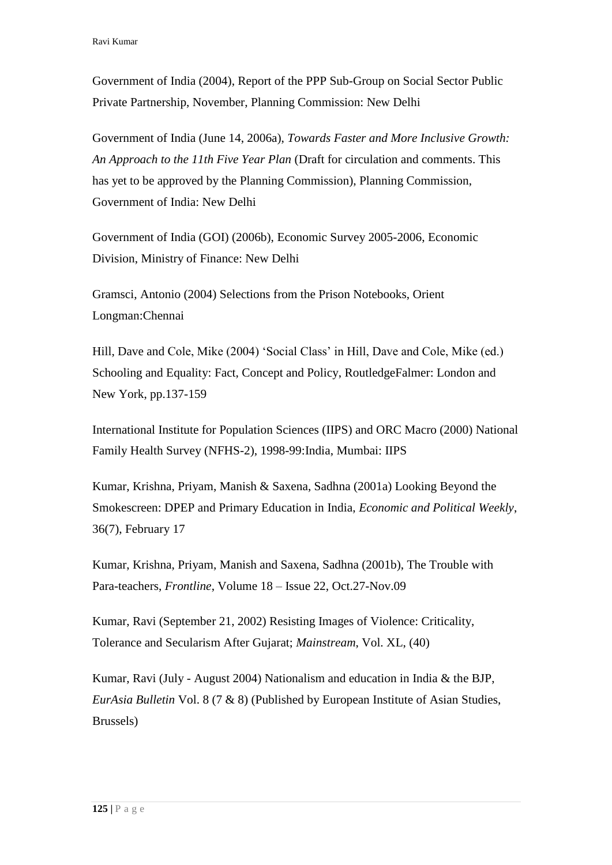Government of India (2004), Report of the PPP Sub-Group on Social Sector Public Private Partnership, November, Planning Commission: New Delhi

Government of India (June 14, 2006a), *Towards Faster and More Inclusive Growth: An Approach to the 11th Five Year Plan* (Draft for circulation and comments. This has yet to be approved by the Planning Commission), Planning Commission, Government of India: New Delhi

Government of India (GOI) (2006b), Economic Survey 2005-2006, Economic Division, Ministry of Finance: New Delhi

Gramsci, Antonio (2004) Selections from the Prison Notebooks, Orient Longman:Chennai

Hill, Dave and Cole, Mike (2004) 'Social Class' in Hill, Dave and Cole, Mike (ed.) Schooling and Equality: Fact, Concept and Policy, RoutledgeFalmer: London and New York, pp.137-159

International Institute for Population Sciences (IIPS) and ORC Macro (2000) National Family Health Survey (NFHS-2), 1998-99:India, Mumbai: IIPS

Kumar, Krishna, Priyam, Manish & Saxena, Sadhna (2001a) Looking Beyond the Smokescreen: DPEP and Primary Education in India, *Economic and Political Weekly*, 36(7), February 17

Kumar, Krishna, Priyam, Manish and Saxena, Sadhna (2001b), The Trouble with Para-teachers, *Frontline*, Volume 18 – Issue 22, Oct.27-Nov.09

Kumar, Ravi (September 21, 2002) Resisting Images of Violence: Criticality, Tolerance and Secularism After Gujarat; *Mainstream*, Vol. XL, (40)

Kumar, Ravi (July - August 2004) Nationalism and education in India & the BJP, *EurAsia Bulletin* Vol. 8 (7 & 8) (Published by European Institute of Asian Studies, Brussels)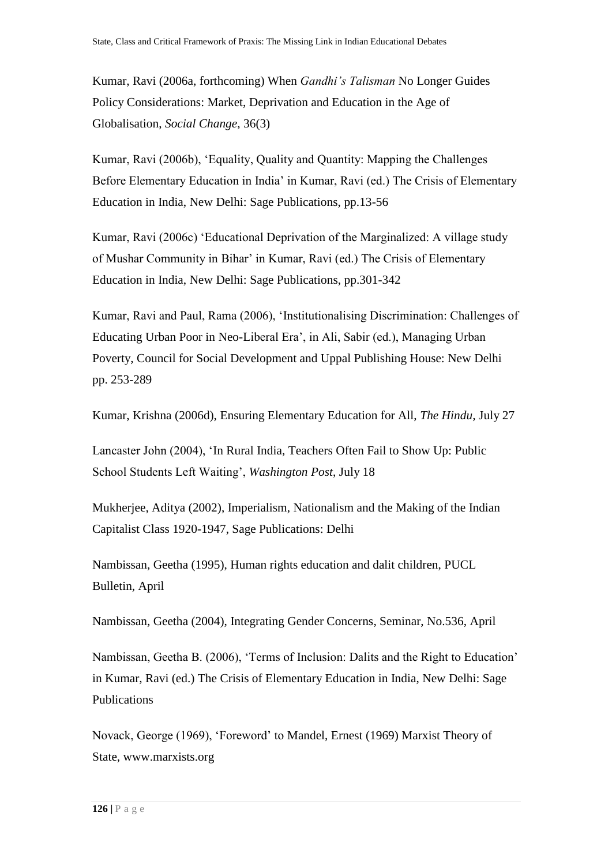Kumar, Ravi (2006a, forthcoming) When *Gandhi's Talisman* No Longer Guides Policy Considerations: Market, Deprivation and Education in the Age of Globalisation, *Social Change*, 36(3)

Kumar, Ravi (2006b), 'Equality, Quality and Quantity: Mapping the Challenges Before Elementary Education in India' in Kumar, Ravi (ed.) The Crisis of Elementary Education in India, New Delhi: Sage Publications, pp.13-56

Kumar, Ravi (2006c) 'Educational Deprivation of the Marginalized: A village study of Mushar Community in Bihar' in Kumar, Ravi (ed.) The Crisis of Elementary Education in India, New Delhi: Sage Publications, pp.301-342

Kumar, Ravi and Paul, Rama (2006), 'Institutionalising Discrimination: Challenges of Educating Urban Poor in Neo-Liberal Era', in Ali, Sabir (ed.), Managing Urban Poverty, Council for Social Development and Uppal Publishing House: New Delhi pp. 253-289

Kumar, Krishna (2006d), Ensuring Elementary Education for All, *The Hindu,* July 27

Lancaster John (2004), 'In Rural India, Teachers Often Fail to Show Up: Public School Students Left Waiting', *Washington Post*, July 18

Mukherjee, Aditya (2002), Imperialism, Nationalism and the Making of the Indian Capitalist Class 1920-1947, Sage Publications: Delhi

Nambissan, Geetha (1995), Human rights education and dalit children, PUCL Bulletin, April

Nambissan, Geetha (2004), Integrating Gender Concerns, Seminar, No.536, April

Nambissan, Geetha B. (2006), 'Terms of Inclusion: Dalits and the Right to Education' in Kumar, Ravi (ed.) The Crisis of Elementary Education in India, New Delhi: Sage Publications

Novack, George (1969), 'Foreword' to Mandel, Ernest (1969) Marxist Theory of State, [www.marxists.org](http://www.marxists.org/)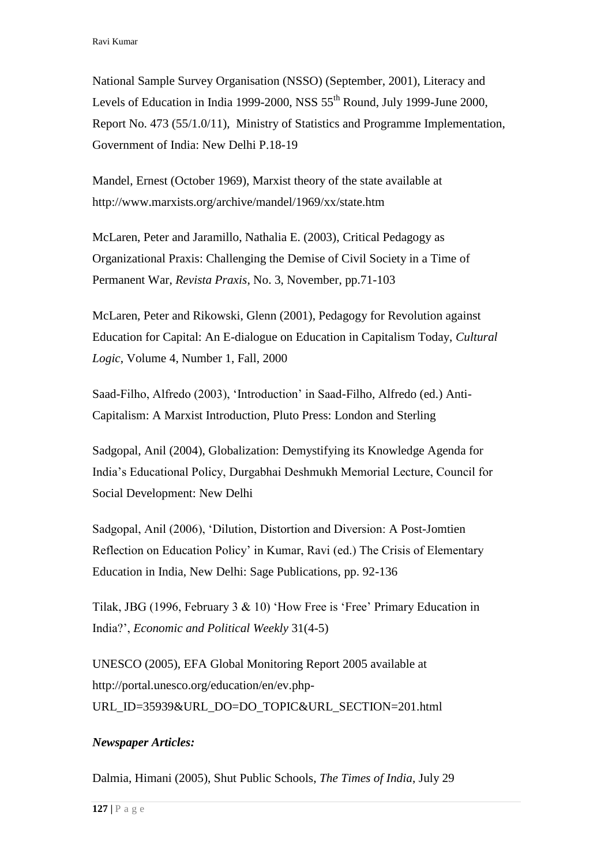National Sample Survey Organisation (NSSO) (September, 2001), Literacy and Levels of Education in India 1999-2000, NSS  $55<sup>th</sup>$  Round, July 1999-June 2000, Report No. 473 (55/1.0/11), Ministry of Statistics and Programme Implementation, Government of India: New Delhi P.18-19

Mandel, Ernest (October 1969), Marxist theory of the state available at http://www.marxists.org/archive/mandel/1969/xx/state.htm

McLaren, Peter and Jaramillo, Nathalia E. (2003), Critical Pedagogy as Organizational Praxis: Challenging the Demise of Civil Society in a Time of Permanent War, *Revista Praxis*, No. 3, November, pp.71-103

McLaren, Peter and Rikowski, Glenn (2001), Pedagogy for Revolution against Education for Capital: An E-dialogue on Education in Capitalism Today, *Cultural Logic*, Volume 4, Number 1, Fall, 2000

Saad-Filho, Alfredo (2003), 'Introduction' in Saad-Filho, Alfredo (ed.) Anti-Capitalism: A Marxist Introduction, Pluto Press: London and Sterling

Sadgopal, Anil (2004), Globalization: Demystifying its Knowledge Agenda for India's Educational Policy, Durgabhai Deshmukh Memorial Lecture, Council for Social Development: New Delhi

Sadgopal, Anil (2006), 'Dilution, Distortion and Diversion: A Post-Jomtien Reflection on Education Policy' in Kumar, Ravi (ed.) The Crisis of Elementary Education in India, New Delhi: Sage Publications, pp. 92-136

Tilak, JBG (1996, February 3 & 10) 'How Free is 'Free' Primary Education in India?', *Economic and Political Weekly* 31(4-5)

UNESCO (2005), EFA Global Monitoring Report 2005 available at http://portal.unesco.org/education/en/ev.php-URL\_ID=35939&URL\_DO=DO\_TOPIC&URL\_SECTION=201.html

# *Newspaper Articles:*

Dalmia, Himani (2005), Shut Public Schools, *The Times of India*, July 29